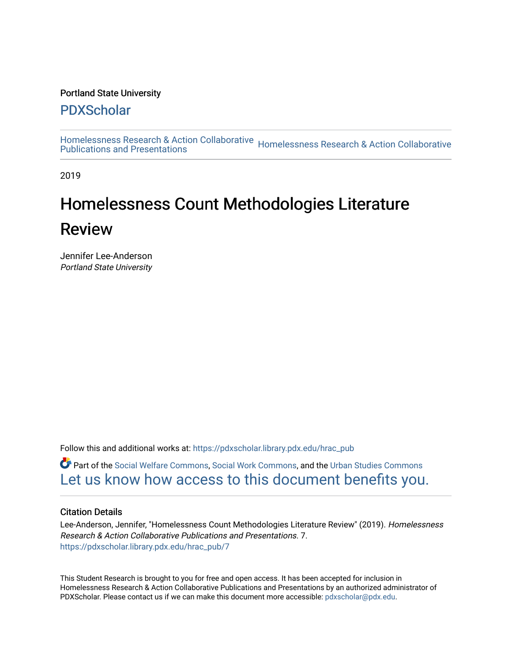#### Portland State University

# [PDXScholar](https://pdxscholar.library.pdx.edu/)

[Homelessness Research & Action Collaborative](https://pdxscholar.library.pdx.edu/hrac_pub) Homelessness Research & Action Collaborative<br>Publications and Presentations

2019

# Homelessness Count Methodologies Literature Review

Jennifer Lee-Anderson Portland State University

Follow this and additional works at: [https://pdxscholar.library.pdx.edu/hrac\\_pub](https://pdxscholar.library.pdx.edu/hrac_pub?utm_source=pdxscholar.library.pdx.edu%2Fhrac_pub%2F7&utm_medium=PDF&utm_campaign=PDFCoverPages) 

Part of the [Social Welfare Commons](http://network.bepress.com/hgg/discipline/401?utm_source=pdxscholar.library.pdx.edu%2Fhrac_pub%2F7&utm_medium=PDF&utm_campaign=PDFCoverPages), [Social Work Commons,](http://network.bepress.com/hgg/discipline/713?utm_source=pdxscholar.library.pdx.edu%2Fhrac_pub%2F7&utm_medium=PDF&utm_campaign=PDFCoverPages) and the [Urban Studies Commons](http://network.bepress.com/hgg/discipline/402?utm_source=pdxscholar.library.pdx.edu%2Fhrac_pub%2F7&utm_medium=PDF&utm_campaign=PDFCoverPages)  [Let us know how access to this document benefits you.](http://library.pdx.edu/services/pdxscholar-services/pdxscholar-feedback/?ref=https://pdxscholar.library.pdx.edu/hrac_pub/7) 

#### Citation Details

Lee-Anderson, Jennifer, "Homelessness Count Methodologies Literature Review" (2019). Homelessness Research & Action Collaborative Publications and Presentations. 7. [https://pdxscholar.library.pdx.edu/hrac\\_pub/7](https://pdxscholar.library.pdx.edu/hrac_pub/7?utm_source=pdxscholar.library.pdx.edu%2Fhrac_pub%2F7&utm_medium=PDF&utm_campaign=PDFCoverPages) 

This Student Research is brought to you for free and open access. It has been accepted for inclusion in Homelessness Research & Action Collaborative Publications and Presentations by an authorized administrator of PDXScholar. Please contact us if we can make this document more accessible: [pdxscholar@pdx.edu.](mailto:pdxscholar@pdx.edu)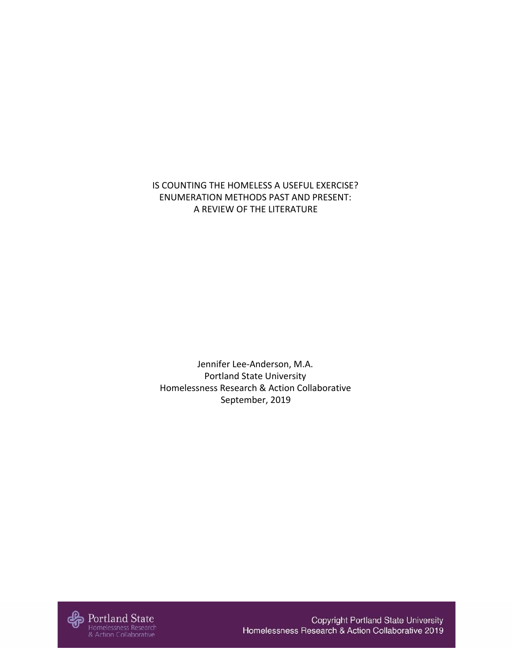IS COUNTING THE HOMELESS A USEFUL EXERCISE? ENUMERATION METHODS PAST AND PRESENT: A REVIEW OF THE LITERATURE

Jennifer Lee-Anderson, M.A. Portland State University Homelessness Research & Action Collaborative September, 2019



Copyright Portland State University Homelessness Research & Action Collaborative 2019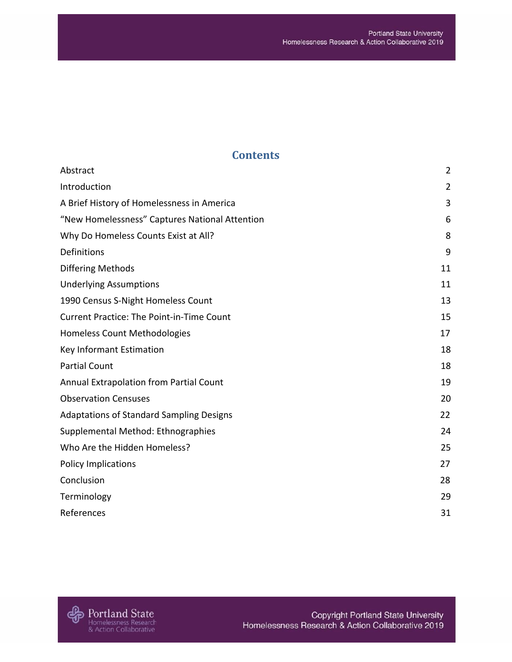# **Contents**

| Abstract                                         | $\overline{2}$ |
|--------------------------------------------------|----------------|
| Introduction                                     | $\overline{2}$ |
| A Brief History of Homelessness in America       | 3              |
| "New Homelessness" Captures National Attention   | 6              |
| Why Do Homeless Counts Exist at All?             | 8              |
| Definitions                                      | 9              |
| <b>Differing Methods</b>                         | 11             |
| <b>Underlying Assumptions</b>                    | 11             |
| 1990 Census S-Night Homeless Count               | 13             |
| <b>Current Practice: The Point-in-Time Count</b> | 15             |
| Homeless Count Methodologies                     | 17             |
| Key Informant Estimation                         | 18             |
| <b>Partial Count</b>                             | 18             |
| Annual Extrapolation from Partial Count          | 19             |
| <b>Observation Censuses</b>                      | 20             |
| <b>Adaptations of Standard Sampling Designs</b>  | 22             |
| Supplemental Method: Ethnographies               | 24             |
| Who Are the Hidden Homeless?                     | 25             |
| Policy Implications                              | 27             |
| Conclusion                                       | 28             |
| Terminology                                      | 29             |
| References                                       | 31             |

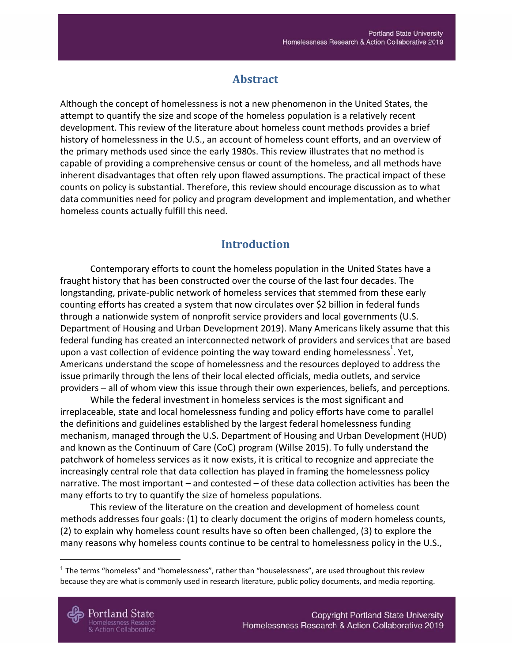# **Abstract**

<span id="page-3-0"></span>Although the concept of homelessness is not a new phenomenon in the United States, the attempt to quantify the size and scope of the homeless population is a relatively recent development. This review of the literature about homeless count methods provides a brief history of homelessness in the U.S., an account of homeless count efforts, and an overview of the primary methods used since the early 1980s. This review illustrates that no method is capable of providing a comprehensive census or count of the homeless, and all methods have inherent disadvantages that often rely upon flawed assumptions. The practical impact of these counts on policy is substantial. Therefore, this review should encourage discussion as to what data communities need for policy and program development and implementation, and whether homeless counts actually fulfill this need.

# **Introduction**

<span id="page-3-1"></span>Contemporary efforts to count the homeless population in the United States have a fraught history that has been constructed over the course of the last four decades. The longstanding, private-public network of homeless services that stemmed from these early counting efforts has created a system that now circulates over \$2 billion in federal funds through a nationwide system of nonprofit service providers and local governments (U.S. Department of Housing and Urban Development 2019). Many Americans likely assume that this federal funding has created an interconnected network of providers and services that are based upon a vast collection of evidence pointing the way toward ending homelessness<sup>1</sup>. Yet, Americans understand the scope of homelessness and the resources deployed to address the issue primarily through the lens of their local elected officials, media outlets, and service providers – all of whom view this issue through their own experiences, beliefs, and perceptions.

While the federal investment in homeless services is the most significant and irreplaceable, state and local homelessness funding and policy efforts have come to parallel the definitions and guidelines established by the largest federal homelessness funding mechanism, managed through the U.S. Department of Housing and Urban Development (HUD) and known as the Continuum of Care (CoC) program (Willse 2015). To fully understand the patchwork of homeless services as it now exists, it is critical to recognize and appreciate the increasingly central role that data collection has played in framing the homelessness policy narrative. The most important – and contested – of these data collection activities has been the many efforts to try to quantify the size of homeless populations.

This review of the literature on the creation and development of homeless count methods addresses four goals: (1) to clearly document the origins of modern homeless counts, (2) to explain why homeless count results have so often been challenged, (3) to explore the many reasons why homeless counts continue to be central to homelessness policy in the U.S.,

 $1$  The terms "homeless" and "homelessness", rather than "houselessness", are used throughout this review because they are what is commonly used in research literature, public policy documents, and media reporting.

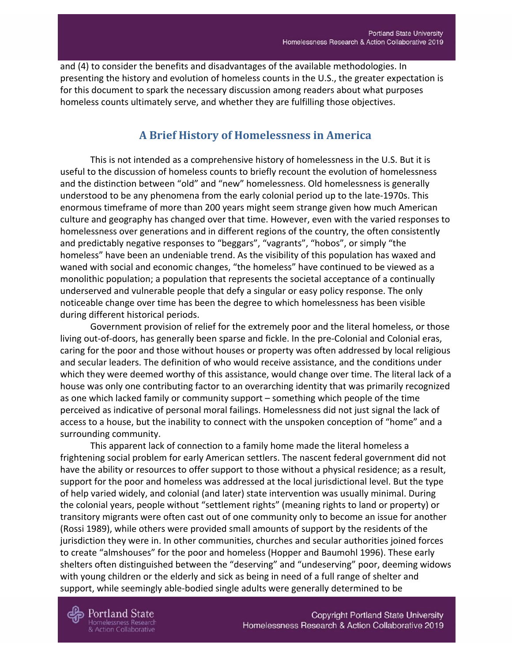<span id="page-4-0"></span>and (4) to consider the benefits and disadvantages of the available methodologies. In presenting the history and evolution of homeless counts in the U.S., the greater expectation is for this document to spark the necessary discussion among readers about what purposes homeless counts ultimately serve, and whether they are fulfilling those objectives.

## **A Brief History of Homelessness in America**

This is not intended as a comprehensive history of homelessness in the U.S. But it is useful to the discussion of homeless counts to briefly recount the evolution of homelessness and the distinction between "old" and "new" homelessness. Old homelessness is generally understood to be any phenomena from the early colonial period up to the late-1970s. This enormous timeframe of more than 200 years might seem strange given how much American culture and geography has changed over that time. However, even with the varied responses to homelessness over generations and in different regions of the country, the often consistently and predictably negative responses to "beggars", "vagrants", "hobos", or simply "the homeless" have been an undeniable trend. As the visibility of this population has waxed and waned with social and economic changes, "the homeless" have continued to be viewed as a monolithic population; a population that represents the societal acceptance of a continually underserved and vulnerable people that defy a singular or easy policy response. The only noticeable change over time has been the degree to which homelessness has been visible during different historical periods.

Government provision of relief for the extremely poor and the literal homeless, or those living out-of-doors, has generally been sparse and fickle. In the pre-Colonial and Colonial eras, caring for the poor and those without houses or property was often addressed by local religious and secular leaders. The definition of who would receive assistance, and the conditions under which they were deemed worthy of this assistance, would change over time. The literal lack of a house was only one contributing factor to an overarching identity that was primarily recognized as one which lacked family or community support – something which people of the time perceived as indicative of personal moral failings. Homelessness did not just signal the lack of access to a house, but the inability to connect with the unspoken conception of "home" and a surrounding community.

This apparent lack of connection to a family home made the literal homeless a frightening social problem for early American settlers. The nascent federal government did not have the ability or resources to offer support to those without a physical residence; as a result, support for the poor and homeless was addressed at the local jurisdictional level. But the type of help varied widely, and colonial (and later) state intervention was usually minimal. During the colonial years, people without "settlement rights" (meaning rights to land or property) or transitory migrants were often cast out of one community only to become an issue for another (Rossi 1989), while others were provided small amounts of support by the residents of the jurisdiction they were in. In other communities, churches and secular authorities joined forces to create "almshouses" for the poor and homeless (Hopper and Baumohl 1996). These early shelters often distinguished between the "deserving" and "undeserving" poor, deeming widows with young children or the elderly and sick as being in need of a full range of shelter and support, while seemingly able-bodied single adults were generally determined to be

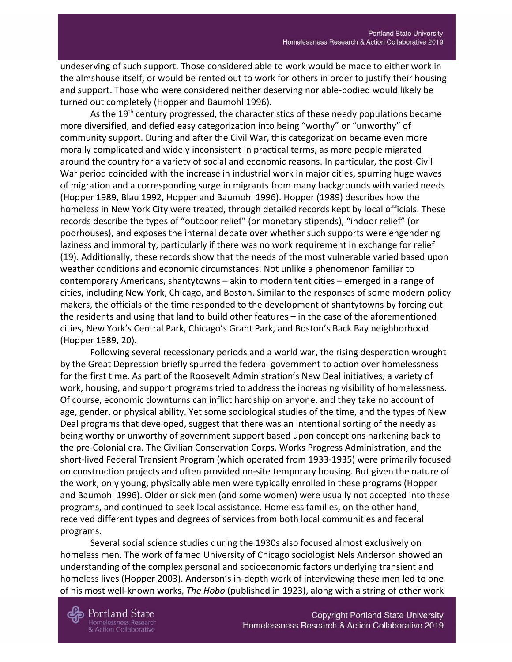undeserving of such support. Those considered able to work would be made to either work in the almshouse itself, or would be rented out to work for others in order to justify their housing and support. Those who were considered neither deserving nor able-bodied would likely be turned out completely (Hopper and Baumohl 1996).

As the 19<sup>th</sup> century progressed, the characteristics of these needy populations became more diversified, and defied easy categorization into being "worthy" or "unworthy" of community support. During and after the Civil War, this categorization became even more morally complicated and widely inconsistent in practical terms, as more people migrated around the country for a variety of social and economic reasons. In particular, the post-Civil War period coincided with the increase in industrial work in major cities, spurring huge waves of migration and a corresponding surge in migrants from many backgrounds with varied needs (Hopper 1989, Blau 1992, Hopper and Baumohl 1996). Hopper (1989) describes how the homeless in New York City were treated, through detailed records kept by local officials. These records describe the types of "outdoor relief" (or monetary stipends), "indoor relief" (or poorhouses), and exposes the internal debate over whether such supports were engendering laziness and immorality, particularly if there was no work requirement in exchange for relief (19). Additionally, these records show that the needs of the most vulnerable varied based upon weather conditions and economic circumstances. Not unlike a phenomenon familiar to contemporary Americans, shantytowns – akin to modern tent cities – emerged in a range of cities, including New York, Chicago, and Boston. Similar to the responses of some modern policy makers, the officials of the time responded to the development of shantytowns by forcing out the residents and using that land to build other features – in the case of the aforementioned cities, New York's Central Park, Chicago's Grant Park, and Boston's Back Bay neighborhood (Hopper 1989, 20).

Following several recessionary periods and a world war, the rising desperation wrought by the Great Depression briefly spurred the federal government to action over homelessness for the first time. As part of the Roosevelt Administration's New Deal initiatives, a variety of work, housing, and support programs tried to address the increasing visibility of homelessness. Of course, economic downturns can inflict hardship on anyone, and they take no account of age, gender, or physical ability. Yet some sociological studies of the time, and the types of New Deal programs that developed, suggest that there was an intentional sorting of the needy as being worthy or unworthy of government support based upon conceptions harkening back to the pre-Colonial era. The Civilian Conservation Corps, Works Progress Administration, and the short-lived Federal Transient Program (which operated from 1933-1935) were primarily focused on construction projects and often provided on-site temporary housing. But given the nature of the work, only young, physically able men were typically enrolled in these programs (Hopper and Baumohl 1996). Older or sick men (and some women) were usually not accepted into these programs, and continued to seek local assistance. Homeless families, on the other hand, received different types and degrees of services from both local communities and federal programs.

Several social science studies during the 1930s also focused almost exclusively on homeless men. The work of famed University of Chicago sociologist Nels Anderson showed an understanding of the complex personal and socioeconomic factors underlying transient and homeless lives (Hopper 2003). Anderson's in-depth work of interviewing these men led to one of his most well-known works, *The Hobo* (published in 1923), along with a string of other work

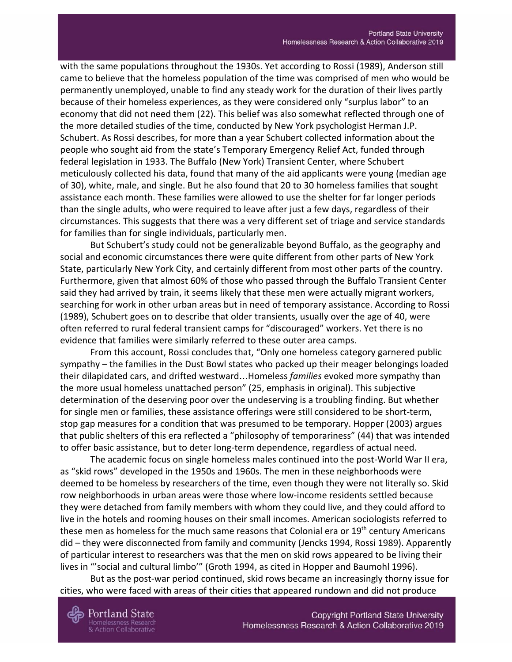with the same populations throughout the 1930s. Yet according to Rossi (1989), Anderson still came to believe that the homeless population of the time was comprised of men who would be permanently unemployed, unable to find any steady work for the duration of their lives partly because of their homeless experiences, as they were considered only "surplus labor" to an economy that did not need them (22). This belief was also somewhat reflected through one of the more detailed studies of the time, conducted by New York psychologist Herman J.P. Schubert. As Rossi describes, for more than a year Schubert collected information about the people who sought aid from the state's Temporary Emergency Relief Act, funded through federal legislation in 1933. The Buffalo (New York) Transient Center, where Schubert meticulously collected his data, found that many of the aid applicants were young (median age of 30), white, male, and single. But he also found that 20 to 30 homeless families that sought assistance each month. These families were allowed to use the shelter for far longer periods than the single adults, who were required to leave after just a few days, regardless of their circumstances. This suggests that there was a very different set of triage and service standards for families than for single individuals, particularly men.

But Schubert's study could not be generalizable beyond Buffalo, as the geography and social and economic circumstances there were quite different from other parts of New York State, particularly New York City, and certainly different from most other parts of the country. Furthermore, given that almost 60% of those who passed through the Buffalo Transient Center said they had arrived by train, it seems likely that these men were actually migrant workers, searching for work in other urban areas but in need of temporary assistance. According to Rossi (1989), Schubert goes on to describe that older transients, usually over the age of 40, were often referred to rural federal transient camps for "discouraged" workers. Yet there is no evidence that families were similarly referred to these outer area camps.

From this account, Rossi concludes that, "Only one homeless category garnered public sympathy – the families in the Dust Bowl states who packed up their meager belongings loaded their dilapidated cars, and drifted westward…Homeless *families* evoked more sympathy than the more usual homeless unattached person" (25, emphasis in original). This subjective determination of the deserving poor over the undeserving is a troubling finding. But whether for single men or families, these assistance offerings were still considered to be short-term, stop gap measures for a condition that was presumed to be temporary. Hopper (2003) argues that public shelters of this era reflected a "philosophy of temporariness" (44) that was intended to offer basic assistance, but to deter long-term dependence, regardless of actual need.

The academic focus on single homeless males continued into the post-World War II era, as "skid rows" developed in the 1950s and 1960s. The men in these neighborhoods were deemed to be homeless by researchers of the time, even though they were not literally so. Skid row neighborhoods in urban areas were those where low-income residents settled because they were detached from family members with whom they could live, and they could afford to live in the hotels and rooming houses on their small incomes. American sociologists referred to these men as homeless for the much same reasons that Colonial era or 19<sup>th</sup> century Americans did – they were disconnected from family and community (Jencks 1994, Rossi 1989). Apparently of particular interest to researchers was that the men on skid rows appeared to be living their lives in "'social and cultural limbo'" (Groth 1994, as cited in Hopper and Baumohl 1996).

But as the post-war period continued, skid rows became an increasingly thorny issue for cities, who were faced with areas of their cities that appeared rundown and did not produce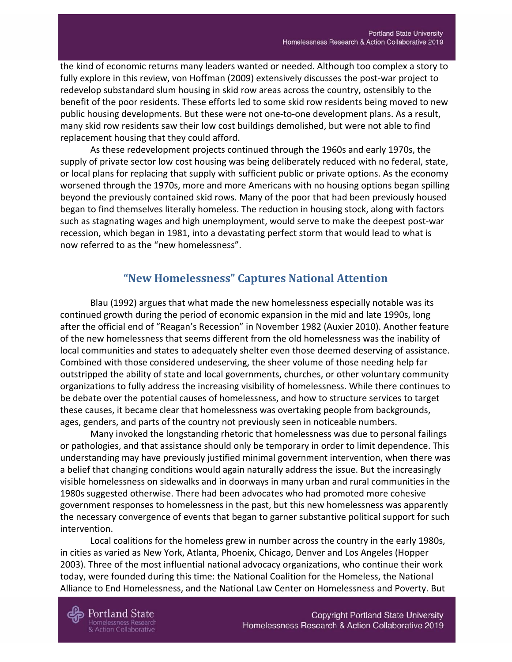the kind of economic returns many leaders wanted or needed. Although too complex a story to fully explore in this review, von Hoffman (2009) extensively discusses the post-war project to redevelop substandard slum housing in skid row areas across the country, ostensibly to the benefit of the poor residents. These efforts led to some skid row residents being moved to new public housing developments. But these were not one-to-one development plans. As a result, many skid row residents saw their low cost buildings demolished, but were not able to find replacement housing that they could afford.

As these redevelopment projects continued through the 1960s and early 1970s, the supply of private sector low cost housing was being deliberately reduced with no federal, state, or local plans for replacing that supply with sufficient public or private options. As the economy worsened through the 1970s, more and more Americans with no housing options began spilling beyond the previously contained skid rows. Many of the poor that had been previously housed began to find themselves literally homeless. The reduction in housing stock, along with factors such as stagnating wages and high unemployment, would serve to make the deepest post-war recession, which began in 1981, into a devastating perfect storm that would lead to what is now referred to as the "new homelessness".

## **"New Homelessness" Captures National Attention**

<span id="page-7-0"></span>Blau (1992) argues that what made the new homelessness especially notable was its continued growth during the period of economic expansion in the mid and late 1990s, long after the official end of "Reagan's Recession" in November 1982 (Auxier 2010). Another feature of the new homelessness that seems different from the old homelessness was the inability of local communities and states to adequately shelter even those deemed deserving of assistance. Combined with those considered undeserving, the sheer volume of those needing help far outstripped the ability of state and local governments, churches, or other voluntary community organizations to fully address the increasing visibility of homelessness. While there continues to be debate over the potential causes of homelessness, and how to structure services to target these causes, it became clear that homelessness was overtaking people from backgrounds, ages, genders, and parts of the country not previously seen in noticeable numbers.

Many invoked the longstanding rhetoric that homelessness was due to personal failings or pathologies, and that assistance should only be temporary in order to limit dependence. This understanding may have previously justified minimal government intervention, when there was a belief that changing conditions would again naturally address the issue. But the increasingly visible homelessness on sidewalks and in doorways in many urban and rural communities in the 1980s suggested otherwise. There had been advocates who had promoted more cohesive government responses to homelessness in the past, but this new homelessness was apparently the necessary convergence of events that began to garner substantive political support for such intervention.

Local coalitions for the homeless grew in number across the country in the early 1980s, in cities as varied as New York, Atlanta, Phoenix, Chicago, Denver and Los Angeles (Hopper 2003). Three of the most influential national advocacy organizations, who continue their work today, were founded during this time: the National Coalition for the Homeless, the National Alliance to End Homelessness, and the National Law Center on Homelessness and Poverty. But

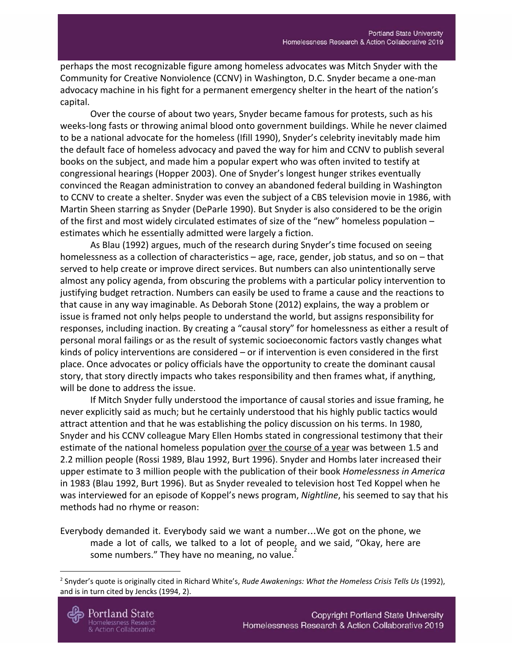perhaps the most recognizable figure among homeless advocates was Mitch Snyder with the Community for Creative Nonviolence (CCNV) in Washington, D.C. Snyder became a one-man advocacy machine in his fight for a permanent emergency shelter in the heart of the nation's capital.

Over the course of about two years, Snyder became famous for protests, such as his weeks-long fasts or throwing animal blood onto government buildings. While he never claimed to be a national advocate for the homeless (Ifill 1990), Snyder's celebrity inevitably made him the default face of homeless advocacy and paved the way for him and CCNV to publish several books on the subject, and made him a popular expert who was often invited to testify at congressional hearings (Hopper 2003). One of Snyder's longest hunger strikes eventually convinced the Reagan administration to convey an abandoned federal building in Washington to CCNV to create a shelter. Snyder was even the subject of a CBS television movie in 1986, with Martin Sheen starring as Snyder (DeParle 1990). But Snyder is also considered to be the origin of the first and most widely circulated estimates of size of the "new" homeless population – estimates which he essentially admitted were largely a fiction.

As Blau (1992) argues, much of the research during Snyder's time focused on seeing homelessness as a collection of characteristics – age, race, gender, job status, and so on – that served to help create or improve direct services. But numbers can also unintentionally serve almost any policy agenda, from obscuring the problems with a particular policy intervention to justifying budget retraction. Numbers can easily be used to frame a cause and the reactions to that cause in any way imaginable. As Deborah Stone (2012) explains, the way a problem or issue is framed not only helps people to understand the world, but assigns responsibility for responses, including inaction. By creating a "causal story" for homelessness as either a result of personal moral failings or as the result of systemic socioeconomic factors vastly changes what kinds of policy interventions are considered – or if intervention is even considered in the first place. Once advocates or policy officials have the opportunity to create the dominant causal story, that story directly impacts who takes responsibility and then frames what, if anything, will be done to address the issue.

If Mitch Snyder fully understood the importance of causal stories and issue framing, he never explicitly said as much; but he certainly understood that his highly public tactics would attract attention and that he was establishing the policy discussion on his terms. In 1980, Snyder and his CCNV colleague Mary Ellen Hombs stated in congressional testimony that their estimate of the national homeless population over the course of a year was between 1.5 and 2.2 million people (Rossi 1989, Blau 1992, Burt 1996). Snyder and Hombs later increased their upper estimate to 3 million people with the publication of their book *Homelessness in America* in 1983 (Blau 1992, Burt 1996). But as Snyder revealed to television host Ted Koppel when he was interviewed for an episode of Koppel's news program, *Nightline*, his seemed to say that his methods had no rhyme or reason:

Everybody demanded it. Everybody said we want a number…We got on the phone, we made a lot of calls, we talked to a lot of people, and we said, "Okay, here are some numbers." They have no meaning, no value.

<sup>2</sup> Snyder's quote is originally cited in Richard White's, *Rude Awakenings: What the Homeless Crisis Tells Us* (1992), and is in turn cited by Jencks (1994, 2).

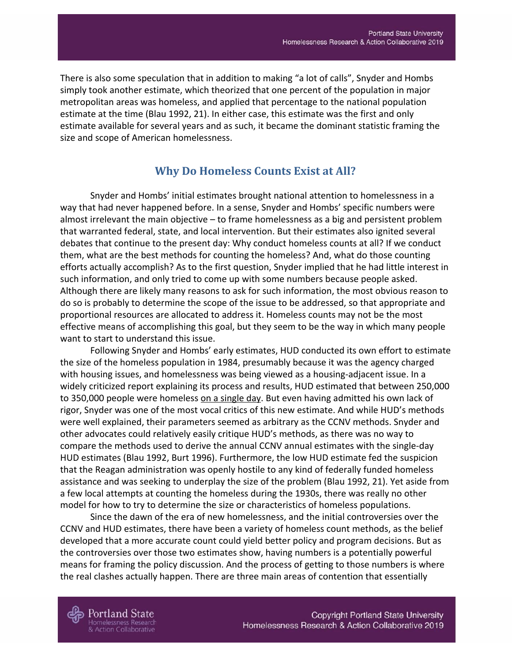There is also some speculation that in addition to making "a lot of calls", Snyder and Hombs simply took another estimate, which theorized that one percent of the population in major metropolitan areas was homeless, and applied that percentage to the national population estimate at the time (Blau 1992, 21). In either case, this estimate was the first and only estimate available for several years and as such, it became the dominant statistic framing the size and scope of American homelessness.

# **Why Do Homeless Counts Exist at All?**

<span id="page-9-0"></span>Snyder and Hombs' initial estimates brought national attention to homelessness in a way that had never happened before. In a sense, Snyder and Hombs' specific numbers were almost irrelevant the main objective – to frame homelessness as a big and persistent problem that warranted federal, state, and local intervention. But their estimates also ignited several debates that continue to the present day: Why conduct homeless counts at all? If we conduct them, what are the best methods for counting the homeless? And, what do those counting efforts actually accomplish? As to the first question, Snyder implied that he had little interest in such information, and only tried to come up with some numbers because people asked. Although there are likely many reasons to ask for such information, the most obvious reason to do so is probably to determine the scope of the issue to be addressed, so that appropriate and proportional resources are allocated to address it. Homeless counts may not be the most effective means of accomplishing this goal, but they seem to be the way in which many people want to start to understand this issue.

Following Snyder and Hombs' early estimates, HUD conducted its own effort to estimate the size of the homeless population in 1984, presumably because it was the agency charged with housing issues, and homelessness was being viewed as a housing-adjacent issue. In a widely criticized report explaining its process and results, HUD estimated that between 250,000 to 350,000 people were homeless on a single day. But even having admitted his own lack of rigor, Snyder was one of the most vocal critics of this new estimate. And while HUD's methods were well explained, their parameters seemed as arbitrary as the CCNV methods. Snyder and other advocates could relatively easily critique HUD's methods, as there was no way to compare the methods used to derive the annual CCNV annual estimates with the single-day HUD estimates (Blau 1992, Burt 1996). Furthermore, the low HUD estimate fed the suspicion that the Reagan administration was openly hostile to any kind of federally funded homeless assistance and was seeking to underplay the size of the problem (Blau 1992, 21). Yet aside from a few local attempts at counting the homeless during the 1930s, there was really no other model for how to try to determine the size or characteristics of homeless populations.

Since the dawn of the era of new homelessness, and the initial controversies over the CCNV and HUD estimates, there have been a variety of homeless count methods, as the belief developed that a more accurate count could yield better policy and program decisions. But as the controversies over those two estimates show, having numbers is a potentially powerful means for framing the policy discussion. And the process of getting to those numbers is where the real clashes actually happen. There are three main areas of contention that essentially

Portland State omelessness Research **Action Collaborative**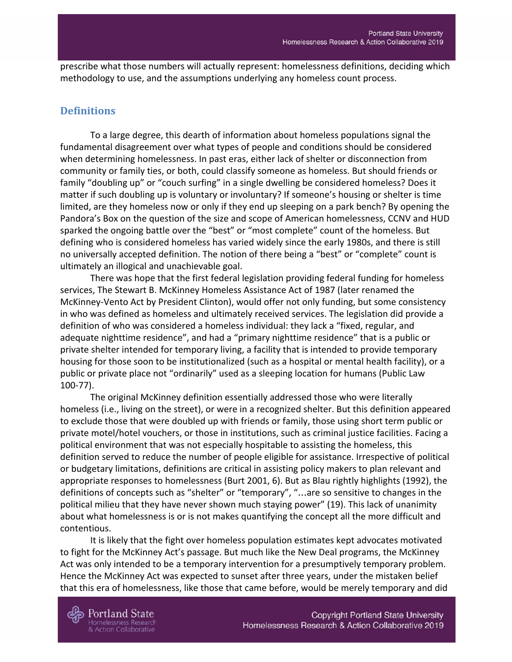prescribe what those numbers will actually represent: homelessness definitions, deciding which methodology to use, and the assumptions underlying any homeless count process.

## <span id="page-10-0"></span>**Definitions**

To a large degree, this dearth of information about homeless populations signal the fundamental disagreement over what types of people and conditions should be considered when determining homelessness. In past eras, either lack of shelter or disconnection from community or family ties, or both, could classify someone as homeless. But should friends or family "doubling up" or "couch surfing" in a single dwelling be considered homeless? Does it matter if such doubling up is voluntary or involuntary? If someone's housing or shelter is time limited, are they homeless now or only if they end up sleeping on a park bench? By opening the Pandora's Box on the question of the size and scope of American homelessness, CCNV and HUD sparked the ongoing battle over the "best" or "most complete" count of the homeless. But defining who is considered homeless has varied widely since the early 1980s, and there is still no universally accepted definition. The notion of there being a "best" or "complete" count is ultimately an illogical and unachievable goal.

There was hope that the first federal legislation providing federal funding for homeless services, The Stewart B. McKinney Homeless Assistance Act of 1987 (later renamed the McKinney-Vento Act by President Clinton), would offer not only funding, but some consistency in who was defined as homeless and ultimately received services. The legislation did provide a definition of who was considered a homeless individual: they lack a "fixed, regular, and adequate nighttime residence", and had a "primary nighttime residence" that is a public or private shelter intended for temporary living, a facility that is intended to provide temporary housing for those soon to be institutionalized (such as a hospital or mental health facility), or a public or private place not "ordinarily" used as a sleeping location for humans (Public Law 100-77).

The original McKinney definition essentially addressed those who were literally homeless (i.e., living on the street), or were in a recognized shelter. But this definition appeared to exclude those that were doubled up with friends or family, those using short term public or private motel/hotel vouchers, or those in institutions, such as criminal justice facilities. Facing a political environment that was not especially hospitable to assisting the homeless, this definition served to reduce the number of people eligible for assistance. Irrespective of political or budgetary limitations, definitions are critical in assisting policy makers to plan relevant and appropriate responses to homelessness (Burt 2001, 6). But as Blau rightly highlights (1992), the definitions of concepts such as "shelter" or "temporary", "…are so sensitive to changes in the political milieu that they have never shown much staying power" (19). This lack of unanimity about what homelessness is or is not makes quantifying the concept all the more difficult and contentious.

It is likely that the fight over homeless population estimates kept advocates motivated to fight for the McKinney Act's passage. But much like the New Deal programs, the McKinney Act was only intended to be a temporary intervention for a presumptively temporary problem. Hence the McKinney Act was expected to sunset after three years, under the mistaken belief that this era of homelessness, like those that came before, would be merely temporary and did

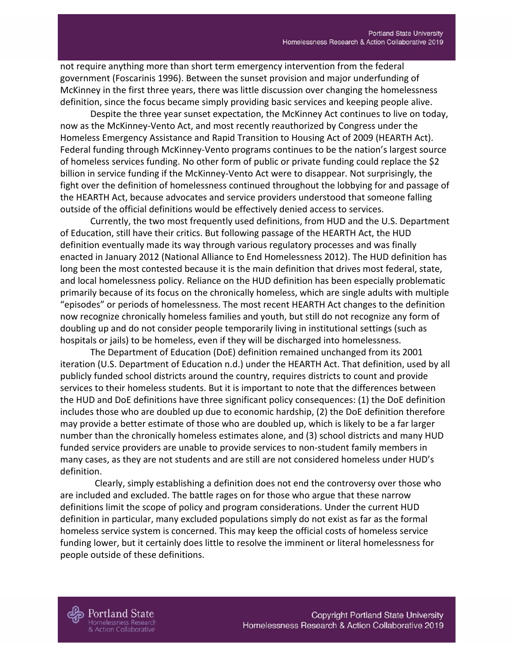not require anything more than short term emergency intervention from the federal government (Foscarinis 1996). Between the sunset provision and major underfunding of McKinney in the first three years, there was little discussion over changing the homelessness definition, since the focus became simply providing basic services and keeping people alive.

Despite the three year sunset expectation, the McKinney Act continues to live on today, now as the McKinney-Vento Act, and most recently reauthorized by Congress under the Homeless Emergency Assistance and Rapid Transition to Housing Act of 2009 (HEARTH Act). Federal funding through McKinney-Vento programs continues to be the nation's largest source of homeless services funding. No other form of public or private funding could replace the \$2 billion in service funding if the McKinney-Vento Act were to disappear. Not surprisingly, the fight over the definition of homelessness continued throughout the lobbying for and passage of the HEARTH Act, because advocates and service providers understood that someone falling outside of the official definitions would be effectively denied access to services.

Currently, the two most frequently used definitions, from HUD and the U.S. Department of Education, still have their critics. But following passage of the HEARTH Act, the HUD definition eventually made its way through various regulatory processes and was finally enacted in January 2012 (National Alliance to End Homelessness 2012). The HUD definition has long been the most contested because it is the main definition that drives most federal, state, and local homelessness policy. Reliance on the HUD definition has been especially problematic primarily because of its focus on the chronically homeless, which are single adults with multiple "episodes" or periods of homelessness. The most recent HEARTH Act changes to the definition now recognize chronically homeless families and youth, but still do not recognize any form of doubling up and do not consider people temporarily living in institutional settings (such as hospitals or jails) to be homeless, even if they will be discharged into homelessness.

The Department of Education (DoE) definition remained unchanged from its 2001 iteration (U.S. Department of Education n.d.) under the HEARTH Act. That definition, used by all publicly funded school districts around the country, requires districts to count and provide services to their homeless students. But it is important to note that the differences between the HUD and DoE definitions have three significant policy consequences: (1) the DoE definition includes those who are doubled up due to economic hardship, (2) the DoE definition therefore may provide a better estimate of those who are doubled up, which is likely to be a far larger number than the chronically homeless estimates alone, and (3) school districts and many HUD funded service providers are unable to provide services to non-student family members in many cases, as they are not students and are still are not considered homeless under HUD's definition.

 Clearly, simply establishing a definition does not end the controversy over those who are included and excluded. The battle rages on for those who argue that these narrow definitions limit the scope of policy and program considerations. Under the current HUD definition in particular, many excluded populations simply do not exist as far as the formal homeless service system is concerned. This may keep the official costs of homeless service funding lower, but it certainly does little to resolve the imminent or literal homelessness for people outside of these definitions.

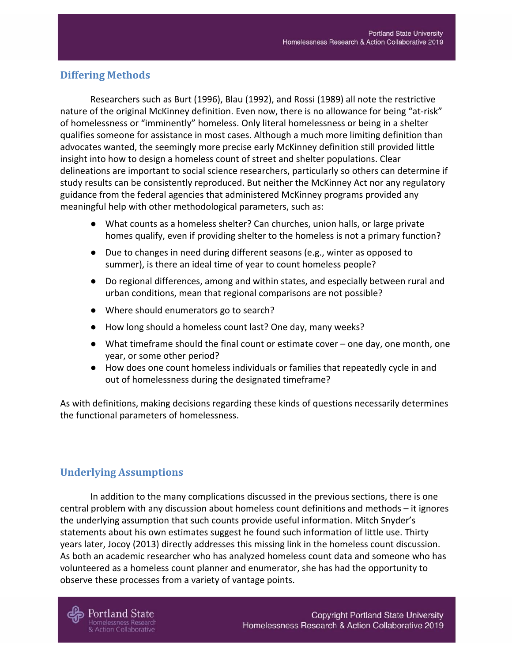## <span id="page-12-0"></span>**Differing Methods**

Researchers such as Burt (1996), Blau (1992), and Rossi (1989) all note the restrictive nature of the original McKinney definition. Even now, there is no allowance for being "at-risk" of homelessness or "imminently" homeless. Only literal homelessness or being in a shelter qualifies someone for assistance in most cases. Although a much more limiting definition than advocates wanted, the seemingly more precise early McKinney definition still provided little insight into how to design a homeless count of street and shelter populations. Clear delineations are important to social science researchers, particularly so others can determine if study results can be consistently reproduced. But neither the McKinney Act nor any regulatory guidance from the federal agencies that administered McKinney programs provided any meaningful help with other methodological parameters, such as:

- What counts as a homeless shelter? Can churches, union halls, or large private homes qualify, even if providing shelter to the homeless is not a primary function?
- Due to changes in need during different seasons (e.g., winter as opposed to summer), is there an ideal time of year to count homeless people?
- Do regional differences, among and within states, and especially between rural and urban conditions, mean that regional comparisons are not possible?
- Where should enumerators go to search?
- How long should a homeless count last? One day, many weeks?
- What timeframe should the final count or estimate cover one day, one month, one year, or some other period?
- How does one count homeless individuals or families that repeatedly cycle in and out of homelessness during the designated timeframe?

As with definitions, making decisions regarding these kinds of questions necessarily determines the functional parameters of homelessness.

## <span id="page-12-1"></span>**Underlying Assumptions**

In addition to the many complications discussed in the previous sections, there is one central problem with any discussion about homeless count definitions and methods – it ignores the underlying assumption that such counts provide useful information. Mitch Snyder's statements about his own estimates suggest he found such information of little use. Thirty years later, Jocoy (2013) directly addresses this missing link in the homeless count discussion. As both an academic researcher who has analyzed homeless count data and someone who has volunteered as a homeless count planner and enumerator, she has had the opportunity to observe these processes from a variety of vantage points.

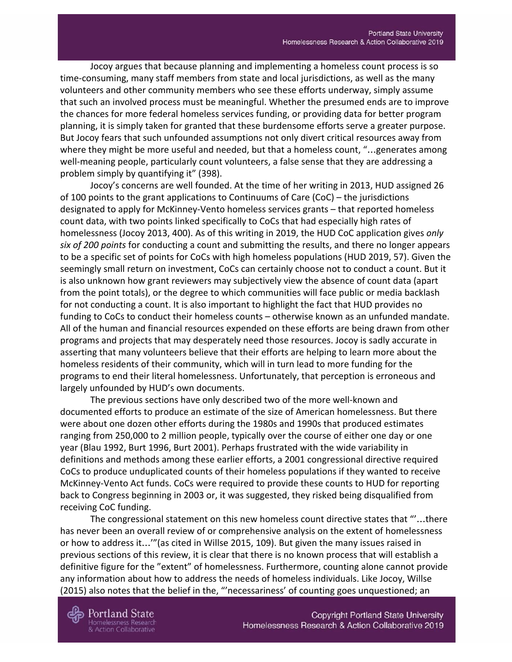Jocoy argues that because planning and implementing a homeless count process is so time-consuming, many staff members from state and local jurisdictions, as well as the many volunteers and other community members who see these efforts underway, simply assume that such an involved process must be meaningful. Whether the presumed ends are to improve the chances for more federal homeless services funding, or providing data for better program planning, it is simply taken for granted that these burdensome efforts serve a greater purpose. But Jocoy fears that such unfounded assumptions not only divert critical resources away from where they might be more useful and needed, but that a homeless count, "...generates among well-meaning people, particularly count volunteers, a false sense that they are addressing a problem simply by quantifying it" (398).

Jocoy's concerns are well founded. At the time of her writing in 2013, HUD assigned 26 of 100 points to the grant applications to Continuums of Care (CoC) – the jurisdictions designated to apply for McKinney-Vento homeless services grants – that reported homeless count data, with two points linked specifically to CoCs that had especially high rates of homelessness (Jocoy 2013, 400). As of this writing in 2019, the HUD CoC application gives *only six of 200 points* for conducting a count and submitting the results, and there no longer appears to be a specific set of points for CoCs with high homeless populations (HUD 2019, 57). Given the seemingly small return on investment, CoCs can certainly choose not to conduct a count. But it is also unknown how grant reviewers may subjectively view the absence of count data (apart from the point totals), or the degree to which communities will face public or media backlash for not conducting a count. It is also important to highlight the fact that HUD provides no funding to CoCs to conduct their homeless counts – otherwise known as an unfunded mandate. All of the human and financial resources expended on these efforts are being drawn from other programs and projects that may desperately need those resources. Jocoy is sadly accurate in asserting that many volunteers believe that their efforts are helping to learn more about the homeless residents of their community, which will in turn lead to more funding for the programs to end their literal homelessness. Unfortunately, that perception is erroneous and largely unfounded by HUD's own documents.

The previous sections have only described two of the more well-known and documented efforts to produce an estimate of the size of American homelessness. But there were about one dozen other efforts during the 1980s and 1990s that produced estimates ranging from 250,000 to 2 million people, typically over the course of either one day or one year (Blau 1992, Burt 1996, Burt 2001). Perhaps frustrated with the wide variability in definitions and methods among these earlier efforts, a 2001 congressional directive required CoCs to produce unduplicated counts of their homeless populations if they wanted to receive McKinney-Vento Act funds. CoCs were required to provide these counts to HUD for reporting back to Congress beginning in 2003 or, it was suggested, they risked being disqualified from receiving CoC funding.

The congressional statement on this new homeless count directive states that "'…there has never been an overall review of or comprehensive analysis on the extent of homelessness or how to address it…'"(as cited in Willse 2015, 109). But given the many issues raised in previous sections of this review, it is clear that there is no known process that will establish a definitive figure for the "extent" of homelessness. Furthermore, counting alone cannot provide any information about how to address the needs of homeless individuals. Like Jocoy, Willse (2015) also notes that the belief in the, "'necessariness' of counting goes unquestioned; an

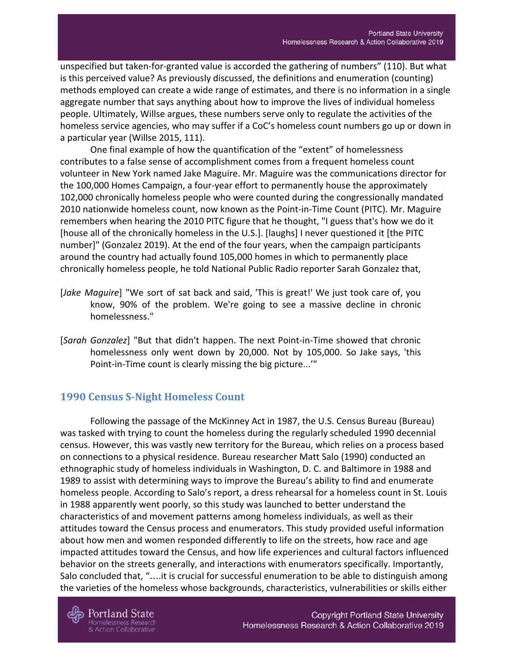unspecified but taken-for-granted value is accorded the gathering of numbers" (110). But what is this perceived value? As previously discussed, the definitions and enumeration (counting) methods employed can create a wide range of estimates, and there is no information in a single aggregate number that says anything about how to improve the lives of individual homeless people. Ultimately, Willse argues, these numbers serve only to regulate the activities of the homeless service agencies, who may suffer if a CoC's homeless count numbers go up or down in a particular year (Willse 2015, 111).

One final example of how the quantification of the "extent" of homelessness contributes to a false sense of accomplishment comes from a frequent homeless count volunteer in New York named Jake Maguire. Mr. Maguire was the communications director for the 100,000 Homes Campaign, a four-year effort to permanently house the approximately 102,000 chronically homeless people who were counted during the congressionally mandated 2010 nationwide homeless count, now known as the Point-in-Time Count (PITC). Mr. Maguire remembers when hearing the 2010 PITC figure that he thought, "I guess that's how we do it [house all of the chronically homeless in the U.S.]. [laughs] I never questioned it [the PITC number]" (Gonzalez 2019). At the end of the four years, when the campaign participants around the country had actually found 105,000 homes in which to permanently place chronically homeless people, he told National Public Radio reporter Sarah Gonzalez that,

- [*Jake Maguire*] "We sort of sat back and said, 'This is great!' We just took care of, you know, 90% of the problem. We're going to see a massive decline in chronic homelessness."
- [*Sarah Gonzalez*] "But that didn't happen. The next Point-in-Time showed that chronic homelessness only went down by 20,000. Not by 105,000. So Jake says, 'this Point-in-Time count is clearly missing the big picture...'"

## <span id="page-14-0"></span>**1990 Census S-Night Homeless Count**

Following the passage of the McKinney Act in 1987, the U.S. Census Bureau (Bureau) was tasked with trying to count the homeless during the regularly scheduled 1990 decennial census. However, this was vastly new territory for the Bureau, which relies on a process based on connections to a physical residence. Bureau researcher Matt Salo (1990) conducted an ethnographic study of homeless individuals in Washington, D. C. and Baltimore in 1988 and 1989 to assist with determining ways to improve the Bureau's ability to find and enumerate homeless people. According to Salo's report, a dress rehearsal for a homeless count in St. Louis in 1988 apparently went poorly, so this study was launched to better understand the characteristics of and movement patterns among homeless individuals, as well as their attitudes toward the Census process and enumerators. This study provided useful information about how men and women responded differently to life on the streets, how race and age impacted attitudes toward the Census, and how life experiences and cultural factors influenced behavior on the streets generally, and interactions with enumerators specifically. Importantly, Salo concluded that, "….it is crucial for successful enumeration to be able to distinguish among the varieties of the homeless whose backgrounds, characteristics, vulnerabilities or skills either



Portland State **Iomelessness Research** & Action Collaborative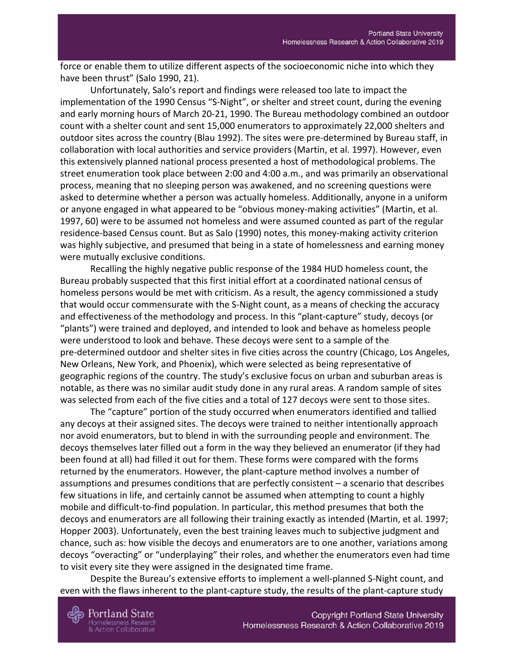force or enable them to utilize different aspects of the socioeconomic niche into which they have been thrust" (Salo 1990, 21).

Unfortunately, Salo's report and findings were released too late to impact the implementation of the 1990 Census "S-Night", or shelter and street count, during the evening and early morning hours of March 20-21, 1990. The Bureau methodology combined an outdoor count with a shelter count and sent 15,000 enumerators to approximately 22,000 shelters and outdoor sites across the country (Blau 1992). The sites were pre-determined by Bureau staff, in collaboration with local authorities and service providers (Martin, et al. 1997). However, even this extensively planned national process presented a host of methodological problems. The street enumeration took place between 2:00 and 4:00 a.m., and was primarily an observational process, meaning that no sleeping person was awakened, and no screening questions were asked to determine whether a person was actually homeless. Additionally, anyone in a uniform or anyone engaged in what appeared to be "obvious money-making activities" (Martin, et al. 1997, 60) were to be assumed not homeless and were assumed counted as part of the regular residence-based Census count. But as Salo (1990) notes, this money-making activity criterion was highly subjective, and presumed that being in a state of homelessness and earning money were mutually exclusive conditions.

Recalling the highly negative public response of the 1984 HUD homeless count, the Bureau probably suspected that this first initial effort at a coordinated national census of homeless persons would be met with criticism. As a result, the agency commissioned a study that would occur commensurate with the S-Night count, as a means of checking the accuracy and effectiveness of the methodology and process. In this "plant-capture" study, decoys (or "plants") were trained and deployed, and intended to look and behave as homeless people were understood to look and behave. These decoys were sent to a sample of the pre-determined outdoor and shelter sites in five cities across the country (Chicago, Los Angeles, New Orleans, New York, and Phoenix), which were selected as being representative of geographic regions of the country. The study's exclusive focus on urban and suburban areas is notable, as there was no similar audit study done in any rural areas. A random sample of sites was selected from each of the five cities and a total of 127 decoys were sent to those sites.

The "capture" portion of the study occurred when enumerators identified and tallied any decoys at their assigned sites. The decoys were trained to neither intentionally approach nor avoid enumerators, but to blend in with the surrounding people and environment. The decoys themselves later filled out a form in the way they believed an enumerator (if they had been found at all) had filled it out for them. These forms were compared with the forms returned by the enumerators. However, the plant-capture method involves a number of assumptions and presumes conditions that are perfectly consistent – a scenario that describes few situations in life, and certainly cannot be assumed when attempting to count a highly mobile and difficult-to-find population. In particular, this method presumes that both the decoys and enumerators are all following their training exactly as intended (Martin, et al. 1997; Hopper 2003). Unfortunately, even the best training leaves much to subjective judgment and chance, such as: how visible the decoys and enumerators are to one another, variations among decoys "overacting" or "underplaying" their roles, and whether the enumerators even had time to visit every site they were assigned in the designated time frame.

Despite the Bureau's extensive efforts to implement a well-planned S-Night count, and even with the flaws inherent to the plant-capture study, the results of the plant-capture study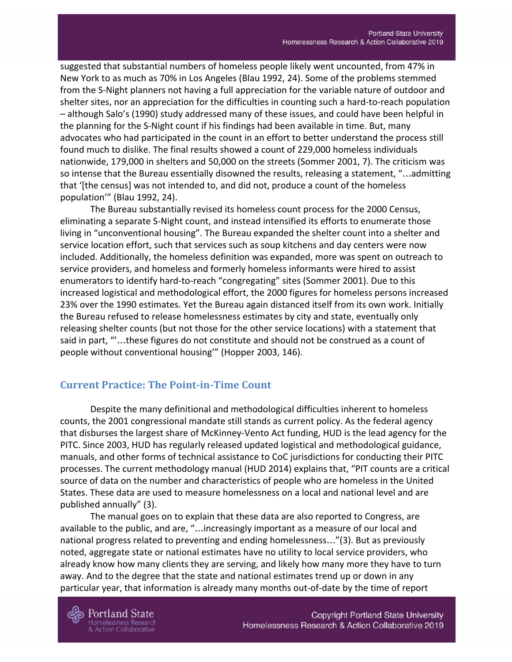suggested that substantial numbers of homeless people likely went uncounted, from 47% in New York to as much as 70% in Los Angeles (Blau 1992, 24). Some of the problems stemmed from the S-Night planners not having a full appreciation for the variable nature of outdoor and shelter sites, nor an appreciation for the difficulties in counting such a hard-to-reach population – although Salo's (1990) study addressed many of these issues, and could have been helpful in the planning for the S-Night count if his findings had been available in time. But, many advocates who had participated in the count in an effort to better understand the process still found much to dislike. The final results showed a count of 229,000 homeless individuals nationwide, 179,000 in shelters and 50,000 on the streets (Sommer 2001, 7). The criticism was so intense that the Bureau essentially disowned the results, releasing a statement, "…admitting that '[the census] was not intended to, and did not, produce a count of the homeless population'" (Blau 1992, 24).

The Bureau substantially revised its homeless count process for the 2000 Census, eliminating a separate S-Night count, and instead intensified its efforts to enumerate those living in "unconventional housing". The Bureau expanded the shelter count into a shelter and service location effort, such that services such as soup kitchens and day centers were now included. Additionally, the homeless definition was expanded, more was spent on outreach to service providers, and homeless and formerly homeless informants were hired to assist enumerators to identify hard-to-reach "congregating" sites (Sommer 2001). Due to this increased logistical and methodological effort, the 2000 figures for homeless persons increased 23% over the 1990 estimates. Yet the Bureau again distanced itself from its own work. Initially the Bureau refused to release homelessness estimates by city and state, eventually only releasing shelter counts (but not those for the other service locations) with a statement that said in part, "'…these figures do not constitute and should not be construed as a count of people without conventional housing'" (Hopper 2003, 146).

#### <span id="page-16-0"></span>**Current Practice: The Point-in-Time Count**

Despite the many definitional and methodological difficulties inherent to homeless counts, the 2001 congressional mandate still stands as current policy. As the federal agency that disburses the largest share of McKinney-Vento Act funding, HUD is the lead agency for the PITC. Since 2003, HUD has regularly released updated logistical and methodological guidance, manuals, and other forms of technical assistance to CoC jurisdictions for conducting their PITC processes. The current methodology manual (HUD 2014) explains that, "PIT counts are a critical source of data on the number and characteristics of people who are homeless in the United States. These data are used to measure homelessness on a local and national level and are published annually" (3).

The manual goes on to explain that these data are also reported to Congress, are available to the public, and are, "…increasingly important as a measure of our local and national progress related to preventing and ending homelessness…"(3). But as previously noted, aggregate state or national estimates have no utility to local service providers, who already know how many clients they are serving, and likely how many more they have to turn away. And to the degree that the state and national estimates trend up or down in any particular year, that information is already many months out-of-date by the time of report



Portland State **Iomelessness Research** & Action Collaborative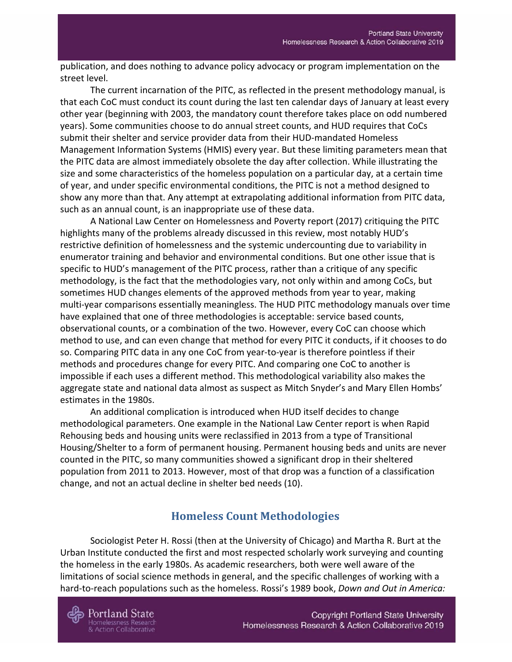publication, and does nothing to advance policy advocacy or program implementation on the street level.

The current incarnation of the PITC, as reflected in the present methodology manual, is that each CoC must conduct its count during the last ten calendar days of January at least every other year (beginning with 2003, the mandatory count therefore takes place on odd numbered years). Some communities choose to do annual street counts, and HUD requires that CoCs submit their shelter and service provider data from their HUD-mandated Homeless Management Information Systems (HMIS) every year. But these limiting parameters mean that the PITC data are almost immediately obsolete the day after collection. While illustrating the size and some characteristics of the homeless population on a particular day, at a certain time of year, and under specific environmental conditions, the PITC is not a method designed to show any more than that. Any attempt at extrapolating additional information from PITC data, such as an annual count, is an inappropriate use of these data.

A National Law Center on Homelessness and Poverty report (2017) critiquing the PITC highlights many of the problems already discussed in this review, most notably HUD's restrictive definition of homelessness and the systemic undercounting due to variability in enumerator training and behavior and environmental conditions. But one other issue that is specific to HUD's management of the PITC process, rather than a critique of any specific methodology, is the fact that the methodologies vary, not only within and among CoCs, but sometimes HUD changes elements of the approved methods from year to year, making multi-year comparisons essentially meaningless. The HUD PITC methodology manuals over time have explained that one of three methodologies is acceptable: service based counts, observational counts, or a combination of the two. However, every CoC can choose which method to use, and can even change that method for every PITC it conducts, if it chooses to do so. Comparing PITC data in any one CoC from year-to-year is therefore pointless if their methods and procedures change for every PITC. And comparing one CoC to another is impossible if each uses a different method. This methodological variability also makes the aggregate state and national data almost as suspect as Mitch Snyder's and Mary Ellen Hombs' estimates in the 1980s.

An additional complication is introduced when HUD itself decides to change methodological parameters. One example in the National Law Center report is when Rapid Rehousing beds and housing units were reclassified in 2013 from a type of Transitional Housing/Shelter to a form of permanent housing. Permanent housing beds and units are never counted in the PITC, so many communities showed a significant drop in their sheltered population from 2011 to 2013. However, most of that drop was a function of a classification change, and not an actual decline in shelter bed needs (10).

## **Homeless Count Methodologies**

<span id="page-17-0"></span>Sociologist Peter H. Rossi (then at the University of Chicago) and Martha R. Burt at the Urban Institute conducted the first and most respected scholarly work surveying and counting the homeless in the early 1980s. As academic researchers, both were well aware of the limitations of social science methods in general, and the specific challenges of working with a hard-to-reach populations such as the homeless. Rossi's 1989 book, *Down and Out in America:*

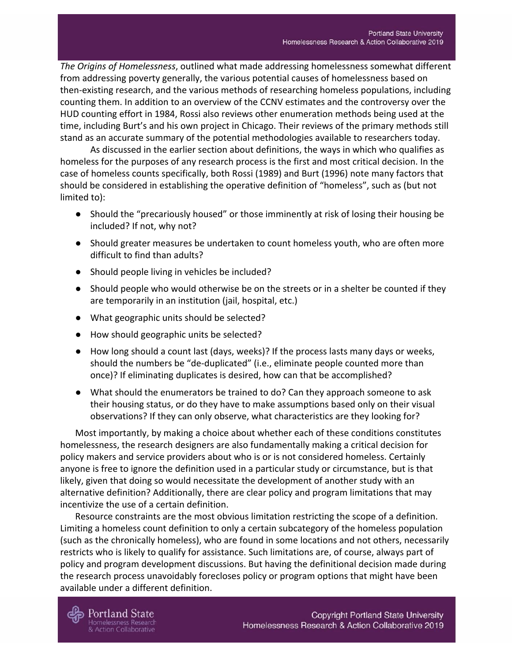*The Origins of Homelessness*, outlined what made addressing homelessness somewhat different from addressing poverty generally, the various potential causes of homelessness based on then-existing research, and the various methods of researching homeless populations, including counting them. In addition to an overview of the CCNV estimates and the controversy over the HUD counting effort in 1984, Rossi also reviews other enumeration methods being used at the time, including Burt's and his own project in Chicago. Their reviews of the primary methods still stand as an accurate summary of the potential methodologies available to researchers today.

As discussed in the earlier section about definitions, the ways in which who qualifies as homeless for the purposes of any research process is the first and most critical decision. In the case of homeless counts specifically, both Rossi (1989) and Burt (1996) note many factors that should be considered in establishing the operative definition of "homeless", such as (but not limited to):

- Should the "precariously housed" or those imminently at risk of losing their housing be included? If not, why not?
- Should greater measures be undertaken to count homeless youth, who are often more difficult to find than adults?
- Should people living in vehicles be included?
- Should people who would otherwise be on the streets or in a shelter be counted if they are temporarily in an institution (jail, hospital, etc.)
- What geographic units should be selected?
- How should geographic units be selected?
- How long should a count last (days, weeks)? If the process lasts many days or weeks, should the numbers be "de-duplicated" (i.e., eliminate people counted more than once)? If eliminating duplicates is desired, how can that be accomplished?
- What should the enumerators be trained to do? Can they approach someone to ask their housing status, or do they have to make assumptions based only on their visual observations? If they can only observe, what characteristics are they looking for?

Most importantly, by making a choice about whether each of these conditions constitutes homelessness, the research designers are also fundamentally making a critical decision for policy makers and service providers about who is or is not considered homeless. Certainly anyone is free to ignore the definition used in a particular study or circumstance, but is that likely, given that doing so would necessitate the development of another study with an alternative definition? Additionally, there are clear policy and program limitations that may incentivize the use of a certain definition.

Resource constraints are the most obvious limitation restricting the scope of a definition. Limiting a homeless count definition to only a certain subcategory of the homeless population (such as the chronically homeless), who are found in some locations and not others, necessarily restricts who is likely to qualify for assistance. Such limitations are, of course, always part of policy and program development discussions. But having the definitional decision made during the research process unavoidably forecloses policy or program options that might have been available under a different definition.



**Action Collaborative**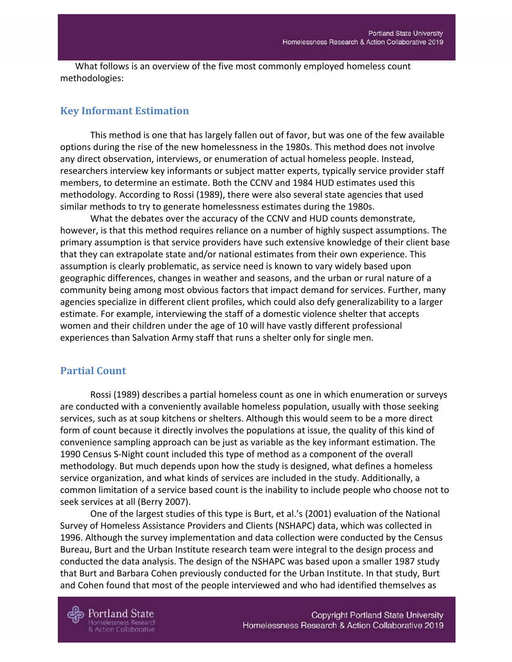What follows is an overview of the five most commonly employed homeless count methodologies:

#### <span id="page-19-0"></span>**Key Informant Estimation**

This method is one that has largely fallen out of favor, but was one of the few available options during the rise of the new homelessness in the 1980s. This method does not involve any direct observation, interviews, or enumeration of actual homeless people. Instead, researchers interview key informants or subject matter experts, typically service provider staff members, to determine an estimate. Both the CCNV and 1984 HUD estimates used this methodology. According to Rossi (1989), there were also several state agencies that used similar methods to try to generate homelessness estimates during the 1980s.

What the debates over the accuracy of the CCNV and HUD counts demonstrate, however, is that this method requires reliance on a number of highly suspect assumptions. The primary assumption is that service providers have such extensive knowledge of their client base that they can extrapolate state and/or national estimates from their own experience. This assumption is clearly problematic, as service need is known to vary widely based upon geographic differences, changes in weather and seasons, and the urban or rural nature of a community being among most obvious factors that impact demand for services. Further, many agencies specialize in different client profiles, which could also defy generalizability to a larger estimate. For example, interviewing the staff of a domestic violence shelter that accepts women and their children under the age of 10 will have vastly different professional experiences than Salvation Army staff that runs a shelter only for single men.

#### <span id="page-19-1"></span>**Partial Count**

Rossi (1989) describes a partial homeless count as one in which enumeration or surveys are conducted with a conveniently available homeless population, usually with those seeking services, such as at soup kitchens or shelters. Although this would seem to be a more direct form of count because it directly involves the populations at issue, the quality of this kind of convenience sampling approach can be just as variable as the key informant estimation. The 1990 Census S-Night count included this type of method as a component of the overall methodology. But much depends upon how the study is designed, what defines a homeless service organization, and what kinds of services are included in the study. Additionally, a common limitation of a service based count is the inability to include people who choose not to seek services at all (Berry 2007).

One of the largest studies of this type is Burt, et al.'s (2001) evaluation of the National Survey of Homeless Assistance Providers and Clients (NSHAPC) data, which was collected in 1996. Although the survey implementation and data collection were conducted by the Census Bureau, Burt and the Urban Institute research team were integral to the design process and conducted the data analysis. The design of the NSHAPC was based upon a smaller 1987 study that Burt and Barbara Cohen previously conducted for the Urban Institute. In that study, Burt and Cohen found that most of the people interviewed and who had identified themselves as

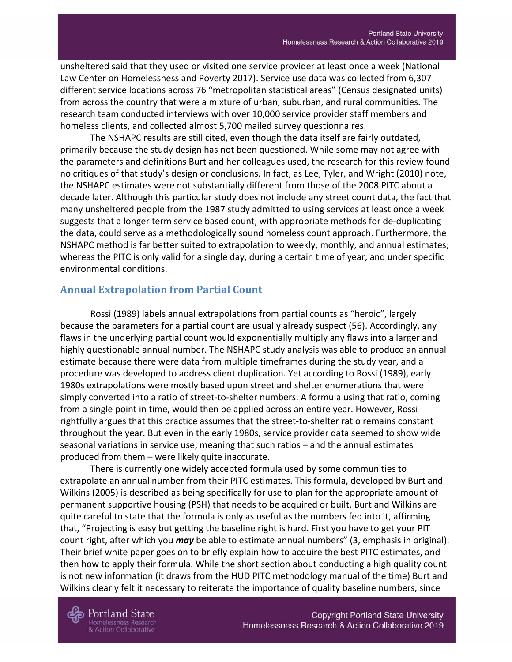unsheltered said that they used or visited one service provider at least once a week (National Law Center on Homelessness and Poverty 2017). Service use data was collected from 6,307 different service locations across 76 "metropolitan statistical areas" (Census designated units) from across the country that were a mixture of urban, suburban, and rural communities. The research team conducted interviews with over 10,000 service provider staff members and homeless clients, and collected almost 5,700 mailed survey questionnaires.

The NSHAPC results are still cited, even though the data itself are fairly outdated, primarily because the study design has not been questioned. While some may not agree with the parameters and definitions Burt and her colleagues used, the research for this review found no critiques of that study's design or conclusions. In fact, as Lee, Tyler, and Wright (2010) note, the NSHAPC estimates were not substantially different from those of the 2008 PITC about a decade later. Although this particular study does not include any street count data, the fact that many unsheltered people from the 1987 study admitted to using services at least once a week suggests that a longer term service based count, with appropriate methods for de-duplicating the data, could serve as a methodologically sound homeless count approach. Furthermore, the NSHAPC method is far better suited to extrapolation to weekly, monthly, and annual estimates; whereas the PITC is only valid for a single day, during a certain time of year, and under specific environmental conditions.

#### <span id="page-20-0"></span>**Annual Extrapolation from Partial Count**

Rossi (1989) labels annual extrapolations from partial counts as "heroic", largely because the parameters for a partial count are usually already suspect (56). Accordingly, any flaws in the underlying partial count would exponentially multiply any flaws into a larger and highly questionable annual number. The NSHAPC study analysis was able to produce an annual estimate because there were data from multiple timeframes during the study year, and a procedure was developed to address client duplication. Yet according to Rossi (1989), early 1980s extrapolations were mostly based upon street and shelter enumerations that were simply converted into a ratio of street-to-shelter numbers. A formula using that ratio, coming from a single point in time, would then be applied across an entire year. However, Rossi rightfully argues that this practice assumes that the street-to-shelter ratio remains constant throughout the year. But even in the early 1980s, service provider data seemed to show wide seasonal variations in service use, meaning that such ratios – and the annual estimates produced from them – were likely quite inaccurate.

There is currently one widely accepted formula used by some communities to extrapolate an annual number from their PITC estimates. This formula, developed by Burt and Wilkins (2005) is described as being specifically for use to plan for the appropriate amount of permanent supportive housing (PSH) that needs to be acquired or built. Burt and Wilkins are quite careful to state that the formula is only as useful as the numbers fed into it, affirming that, "Projecting is easy but getting the baseline right is hard. First you have to get your PIT count right, after which you *may* be able to estimate annual numbers" (3, emphasis in original). Their brief white paper goes on to briefly explain how to acquire the best PITC estimates, and then how to apply their formula. While the short section about conducting a high quality count is not new information (it draws from the HUD PITC methodology manual of the time) Burt and Wilkins clearly felt it necessary to reiterate the importance of quality baseline numbers, since

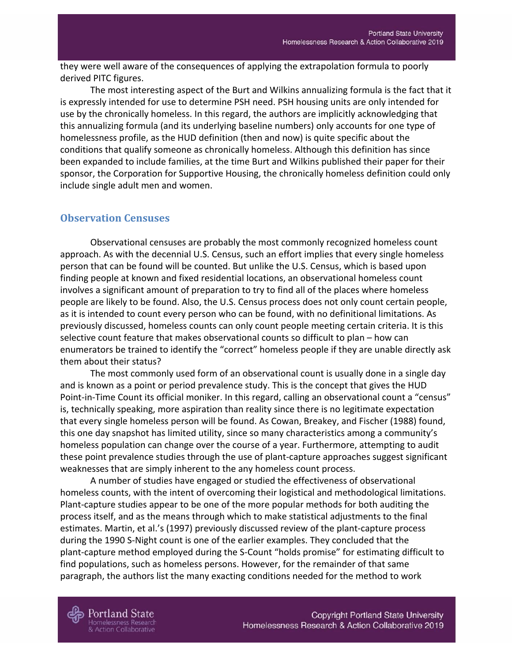they were well aware of the consequences of applying the extrapolation formula to poorly derived PITC figures.

The most interesting aspect of the Burt and Wilkins annualizing formula is the fact that it is expressly intended for use to determine PSH need. PSH housing units are only intended for use by the chronically homeless. In this regard, the authors are implicitly acknowledging that this annualizing formula (and its underlying baseline numbers) only accounts for one type of homelessness profile, as the HUD definition (then and now) is quite specific about the conditions that qualify someone as chronically homeless. Although this definition has since been expanded to include families, at the time Burt and Wilkins published their paper for their sponsor, the Corporation for Supportive Housing, the chronically homeless definition could only include single adult men and women.

#### <span id="page-21-0"></span>**Observation Censuses**

Observational censuses are probably the most commonly recognized homeless count approach. As with the decennial U.S. Census, such an effort implies that every single homeless person that can be found will be counted. But unlike the U.S. Census, which is based upon finding people at known and fixed residential locations, an observational homeless count involves a significant amount of preparation to try to find all of the places where homeless people are likely to be found. Also, the U.S. Census process does not only count certain people, as it is intended to count every person who can be found, with no definitional limitations. As previously discussed, homeless counts can only count people meeting certain criteria. It is this selective count feature that makes observational counts so difficult to plan – how can enumerators be trained to identify the "correct" homeless people if they are unable directly ask them about their status?

The most commonly used form of an observational count is usually done in a single day and is known as a point or period prevalence study. This is the concept that gives the HUD Point-in-Time Count its official moniker. In this regard, calling an observational count a "census" is, technically speaking, more aspiration than reality since there is no legitimate expectation that every single homeless person will be found. As Cowan, Breakey, and Fischer (1988) found, this one day snapshot has limited utility, since so many characteristics among a community's homeless population can change over the course of a year. Furthermore, attempting to audit these point prevalence studies through the use of plant-capture approaches suggest significant weaknesses that are simply inherent to the any homeless count process.

A number of studies have engaged or studied the effectiveness of observational homeless counts, with the intent of overcoming their logistical and methodological limitations. Plant-capture studies appear to be one of the more popular methods for both auditing the process itself, and as the means through which to make statistical adjustments to the final estimates. Martin, et al.'s (1997) previously discussed review of the plant-capture process during the 1990 S-Night count is one of the earlier examples. They concluded that the plant-capture method employed during the S-Count "holds promise" for estimating difficult to find populations, such as homeless persons. However, for the remainder of that same paragraph, the authors list the many exacting conditions needed for the method to work

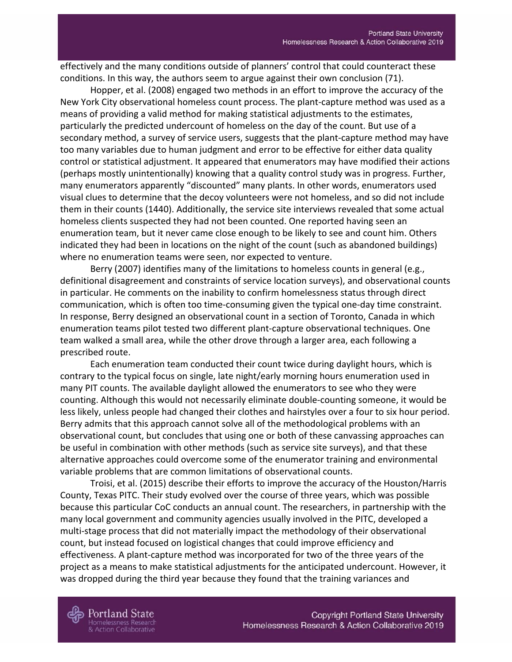effectively and the many conditions outside of planners' control that could counteract these conditions. In this way, the authors seem to argue against their own conclusion (71).

Hopper, et al. (2008) engaged two methods in an effort to improve the accuracy of the New York City observational homeless count process. The plant-capture method was used as a means of providing a valid method for making statistical adjustments to the estimates, particularly the predicted undercount of homeless on the day of the count. But use of a secondary method, a survey of service users, suggests that the plant-capture method may have too many variables due to human judgment and error to be effective for either data quality control or statistical adjustment. It appeared that enumerators may have modified their actions (perhaps mostly unintentionally) knowing that a quality control study was in progress. Further, many enumerators apparently "discounted" many plants. In other words, enumerators used visual clues to determine that the decoy volunteers were not homeless, and so did not include them in their counts (1440). Additionally, the service site interviews revealed that some actual homeless clients suspected they had not been counted. One reported having seen an enumeration team, but it never came close enough to be likely to see and count him. Others indicated they had been in locations on the night of the count (such as abandoned buildings) where no enumeration teams were seen, nor expected to venture.

Berry (2007) identifies many of the limitations to homeless counts in general (e.g., definitional disagreement and constraints of service location surveys), and observational counts in particular. He comments on the inability to confirm homelessness status through direct communication, which is often too time-consuming given the typical one-day time constraint. In response, Berry designed an observational count in a section of Toronto, Canada in which enumeration teams pilot tested two different plant-capture observational techniques. One team walked a small area, while the other drove through a larger area, each following a prescribed route.

Each enumeration team conducted their count twice during daylight hours, which is contrary to the typical focus on single, late night/early morning hours enumeration used in many PIT counts. The available daylight allowed the enumerators to see who they were counting. Although this would not necessarily eliminate double-counting someone, it would be less likely, unless people had changed their clothes and hairstyles over a four to six hour period. Berry admits that this approach cannot solve all of the methodological problems with an observational count, but concludes that using one or both of these canvassing approaches can be useful in combination with other methods (such as service site surveys), and that these alternative approaches could overcome some of the enumerator training and environmental variable problems that are common limitations of observational counts.

Troisi, et al. (2015) describe their efforts to improve the accuracy of the Houston/Harris County, Texas PITC. Their study evolved over the course of three years, which was possible because this particular CoC conducts an annual count. The researchers, in partnership with the many local government and community agencies usually involved in the PITC, developed a multi-stage process that did not materially impact the methodology of their observational count, but instead focused on logistical changes that could improve efficiency and effectiveness. A plant-capture method was incorporated for two of the three years of the project as a means to make statistical adjustments for the anticipated undercount. However, it was dropped during the third year because they found that the training variances and

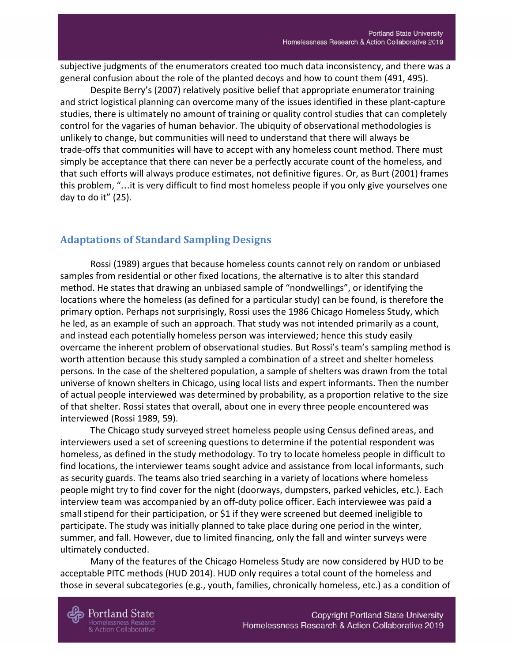subjective judgments of the enumerators created too much data inconsistency, and there was a general confusion about the role of the planted decoys and how to count them (491, 495).

Despite Berry's (2007) relatively positive belief that appropriate enumerator training and strict logistical planning can overcome many of the issues identified in these plant-capture studies, there is ultimately no amount of training or quality control studies that can completely control for the vagaries of human behavior. The ubiquity of observational methodologies is unlikely to change, but communities will need to understand that there will always be trade-offs that communities will have to accept with any homeless count method. There must simply be acceptance that there can never be a perfectly accurate count of the homeless, and that such efforts will always produce estimates, not definitive figures. Or, as Burt (2001) frames this problem, "…it is very difficult to find most homeless people if you only give yourselves one day to do it" (25).

#### <span id="page-23-0"></span>**Adaptations of Standard Sampling Designs**

Rossi (1989) argues that because homeless counts cannot rely on random or unbiased samples from residential or other fixed locations, the alternative is to alter this standard method. He states that drawing an unbiased sample of "nondwellings", or identifying the locations where the homeless (as defined for a particular study) can be found, is therefore the primary option. Perhaps not surprisingly, Rossi uses the 1986 Chicago Homeless Study, which he led, as an example of such an approach. That study was not intended primarily as a count, and instead each potentially homeless person was interviewed; hence this study easily overcame the inherent problem of observational studies. But Rossi's team's sampling method is worth attention because this study sampled a combination of a street and shelter homeless persons. In the case of the sheltered population, a sample of shelters was drawn from the total universe of known shelters in Chicago, using local lists and expert informants. Then the number of actual people interviewed was determined by probability, as a proportion relative to the size of that shelter. Rossi states that overall, about one in every three people encountered was interviewed (Rossi 1989, 59).

The Chicago study surveyed street homeless people using Census defined areas, and interviewers used a set of screening questions to determine if the potential respondent was homeless, as defined in the study methodology. To try to locate homeless people in difficult to find locations, the interviewer teams sought advice and assistance from local informants, such as security guards. The teams also tried searching in a variety of locations where homeless people might try to find cover for the night (doorways, dumpsters, parked vehicles, etc.). Each interview team was accompanied by an off-duty police officer. Each interviewee was paid a small stipend for their participation, or \$1 if they were screened but deemed ineligible to participate. The study was initially planned to take place during one period in the winter, summer, and fall. However, due to limited financing, only the fall and winter surveys were ultimately conducted.

Many of the features of the Chicago Homeless Study are now considered by HUD to be acceptable PITC methods (HUD 2014). HUD only requires a total count of the homeless and those in several subcategories (e.g., youth, families, chronically homeless, etc.) as a condition of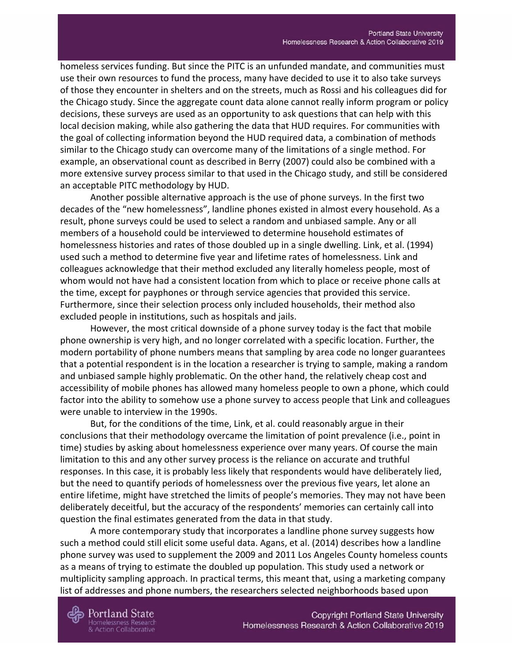homeless services funding. But since the PITC is an unfunded mandate, and communities must use their own resources to fund the process, many have decided to use it to also take surveys of those they encounter in shelters and on the streets, much as Rossi and his colleagues did for the Chicago study. Since the aggregate count data alone cannot really inform program or policy decisions, these surveys are used as an opportunity to ask questions that can help with this local decision making, while also gathering the data that HUD requires. For communities with the goal of collecting information beyond the HUD required data, a combination of methods similar to the Chicago study can overcome many of the limitations of a single method. For example, an observational count as described in Berry (2007) could also be combined with a more extensive survey process similar to that used in the Chicago study, and still be considered an acceptable PITC methodology by HUD.

Another possible alternative approach is the use of phone surveys. In the first two decades of the "new homelessness", landline phones existed in almost every household. As a result, phone surveys could be used to select a random and unbiased sample. Any or all members of a household could be interviewed to determine household estimates of homelessness histories and rates of those doubled up in a single dwelling. Link, et al. (1994) used such a method to determine five year and lifetime rates of homelessness. Link and colleagues acknowledge that their method excluded any literally homeless people, most of whom would not have had a consistent location from which to place or receive phone calls at the time, except for payphones or through service agencies that provided this service. Furthermore, since their selection process only included households, their method also excluded people in institutions, such as hospitals and jails.

However, the most critical downside of a phone survey today is the fact that mobile phone ownership is very high, and no longer correlated with a specific location. Further, the modern portability of phone numbers means that sampling by area code no longer guarantees that a potential respondent is in the location a researcher is trying to sample, making a random and unbiased sample highly problematic. On the other hand, the relatively cheap cost and accessibility of mobile phones has allowed many homeless people to own a phone, which could factor into the ability to somehow use a phone survey to access people that Link and colleagues were unable to interview in the 1990s.

But, for the conditions of the time, Link, et al. could reasonably argue in their conclusions that their methodology overcame the limitation of point prevalence (i.e., point in time) studies by asking about homelessness experience over many years. Of course the main limitation to this and any other survey process is the reliance on accurate and truthful responses. In this case, it is probably less likely that respondents would have deliberately lied, but the need to quantify periods of homelessness over the previous five years, let alone an entire lifetime, might have stretched the limits of people's memories. They may not have been deliberately deceitful, but the accuracy of the respondents' memories can certainly call into question the final estimates generated from the data in that study.

A more contemporary study that incorporates a landline phone survey suggests how such a method could still elicit some useful data. Agans, et al. (2014) describes how a landline phone survey was used to supplement the 2009 and 2011 Los Angeles County homeless counts as a means of trying to estimate the doubled up population. This study used a network or multiplicity sampling approach. In practical terms, this meant that, using a marketing company list of addresses and phone numbers, the researchers selected neighborhoods based upon

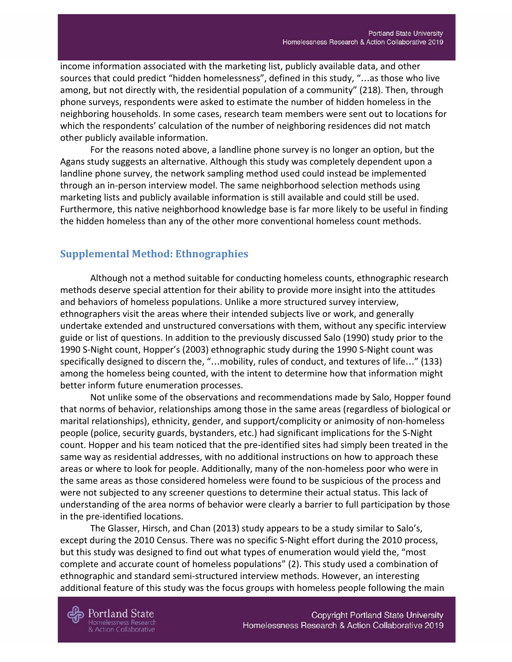income information associated with the marketing list, publicly available data, and other sources that could predict "hidden homelessness", defined in this study, "…as those who live among, but not directly with, the residential population of a community" (218). Then, through phone surveys, respondents were asked to estimate the number of hidden homeless in the neighboring households. In some cases, research team members were sent out to locations for which the respondents' calculation of the number of neighboring residences did not match other publicly available information.

For the reasons noted above, a landline phone survey is no longer an option, but the Agans study suggests an alternative. Although this study was completely dependent upon a landline phone survey, the network sampling method used could instead be implemented through an in-person interview model. The same neighborhood selection methods using marketing lists and publicly available information is still available and could still be used. Furthermore, this native neighborhood knowledge base is far more likely to be useful in finding the hidden homeless than any of the other more conventional homeless count methods.

### <span id="page-25-0"></span>**Supplemental Method: Ethnographies**

Although not a method suitable for conducting homeless counts, ethnographic research methods deserve special attention for their ability to provide more insight into the attitudes and behaviors of homeless populations. Unlike a more structured survey interview, ethnographers visit the areas where their intended subjects live or work, and generally undertake extended and unstructured conversations with them, without any specific interview guide or list of questions. In addition to the previously discussed Salo (1990) study prior to the 1990 S-Night count, Hopper's (2003) ethnographic study during the 1990 S-Night count was specifically designed to discern the, "…mobility, rules of conduct, and textures of life…" (133) among the homeless being counted, with the intent to determine how that information might better inform future enumeration processes.

Not unlike some of the observations and recommendations made by Salo, Hopper found that norms of behavior, relationships among those in the same areas (regardless of biological or marital relationships), ethnicity, gender, and support/complicity or animosity of non-homeless people (police, security guards, bystanders, etc.) had significant implications for the S-Night count. Hopper and his team noticed that the pre-identified sites had simply been treated in the same way as residential addresses, with no additional instructions on how to approach these areas or where to look for people. Additionally, many of the non-homeless poor who were in the same areas as those considered homeless were found to be suspicious of the process and were not subjected to any screener questions to determine their actual status. This lack of understanding of the area norms of behavior were clearly a barrier to full participation by those in the pre-identified locations.

The Glasser, Hirsch, and Chan (2013) study appears to be a study similar to Salo's, except during the 2010 Census. There was no specific S-Night effort during the 2010 process, but this study was designed to find out what types of enumeration would yield the, "most complete and accurate count of homeless populations" (2). This study used a combination of ethnographic and standard semi-structured interview methods. However, an interesting additional feature of this study was the focus groups with homeless people following the main



**Iomelessness Research** 

**Action Collaborative**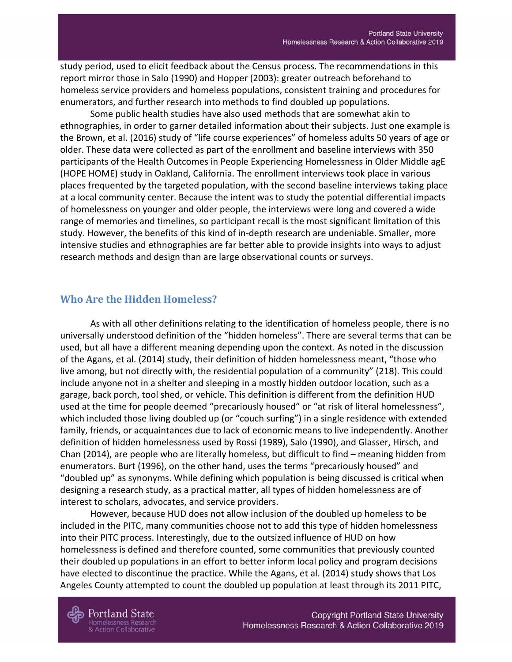study period, used to elicit feedback about the Census process. The recommendations in this report mirror those in Salo (1990) and Hopper (2003): greater outreach beforehand to homeless service providers and homeless populations, consistent training and procedures for enumerators, and further research into methods to find doubled up populations.

Some public health studies have also used methods that are somewhat akin to ethnographies, in order to garner detailed information about their subjects. Just one example is the Brown, et al. (2016) study of "life course experiences" of homeless adults 50 years of age or older. These data were collected as part of the enrollment and baseline interviews with 350 participants of the Health Outcomes in People Experiencing Homelessness in Older Middle agE (HOPE HOME) study in Oakland, California. The enrollment interviews took place in various places frequented by the targeted population, with the second baseline interviews taking place at a local community center. Because the intent was to study the potential differential impacts of homelessness on younger and older people, the interviews were long and covered a wide range of memories and timelines, so participant recall is the most significant limitation of this study. However, the benefits of this kind of in-depth research are undeniable. Smaller, more intensive studies and ethnographies are far better able to provide insights into ways to adjust research methods and design than are large observational counts or surveys.

#### <span id="page-26-0"></span>**Who Are the Hidden Homeless?**

As with all other definitions relating to the identification of homeless people, there is no universally understood definition of the "hidden homeless". There are several terms that can be used, but all have a different meaning depending upon the context. As noted in the discussion of the Agans, et al. (2014) study, their definition of hidden homelessness meant, "those who live among, but not directly with, the residential population of a community" (218). This could include anyone not in a shelter and sleeping in a mostly hidden outdoor location, such as a garage, back porch, tool shed, or vehicle. This definition is different from the definition HUD used at the time for people deemed "precariously housed" or "at risk of literal homelessness", which included those living doubled up (or "couch surfing") in a single residence with extended family, friends, or acquaintances due to lack of economic means to live independently. Another definition of hidden homelessness used by Rossi (1989), Salo (1990), and Glasser, Hirsch, and Chan (2014), are people who are literally homeless, but difficult to find – meaning hidden from enumerators. Burt (1996), on the other hand, uses the terms "precariously housed" and "doubled up" as synonyms. While defining which population is being discussed is critical when designing a research study, as a practical matter, all types of hidden homelessness are of interest to scholars, advocates, and service providers.

However, because HUD does not allow inclusion of the doubled up homeless to be included in the PITC, many communities choose not to add this type of hidden homelessness into their PITC process. Interestingly, due to the outsized influence of HUD on how homelessness is defined and therefore counted, some communities that previously counted their doubled up populations in an effort to better inform local policy and program decisions have elected to discontinue the practice. While the Agans, et al. (2014) study shows that Los Angeles County attempted to count the doubled up population at least through its 2011 PITC,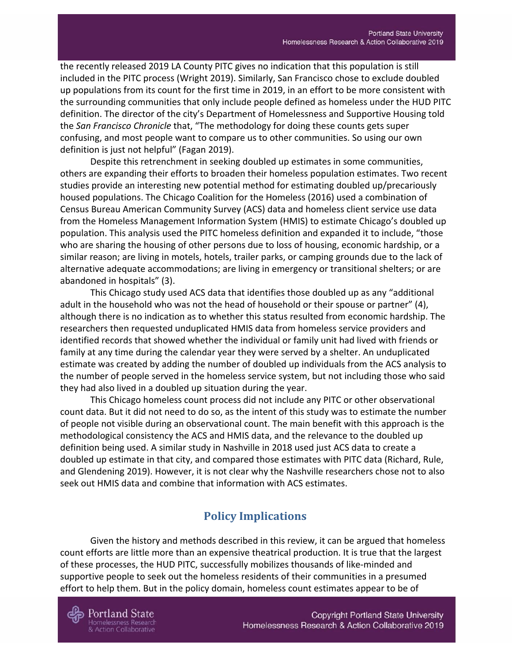the recently released 2019 LA County PITC gives no indication that this population is still included in the PITC process (Wright 2019). Similarly, San Francisco chose to exclude doubled up populations from its count for the first time in 2019, in an effort to be more consistent with the surrounding communities that only include people defined as homeless under the HUD PITC definition. The director of the city's Department of Homelessness and Supportive Housing told the *San Francisco Chronicle* that, "The methodology for doing these counts gets super confusing, and most people want to compare us to other communities. So using our own definition is just not helpful" (Fagan 2019).

Despite this retrenchment in seeking doubled up estimates in some communities, others are expanding their efforts to broaden their homeless population estimates. Two recent studies provide an interesting new potential method for estimating doubled up/precariously housed populations. The Chicago Coalition for the Homeless (2016) used a combination of Census Bureau American Community Survey (ACS) data and homeless client service use data from the Homeless Management Information System (HMIS) to estimate Chicago's doubled up population. This analysis used the PITC homeless definition and expanded it to include, "those who are sharing the housing of other persons due to loss of housing, economic hardship, or a similar reason; are living in motels, hotels, trailer parks, or camping grounds due to the lack of alternative adequate accommodations; are living in emergency or transitional shelters; or are abandoned in hospitals" (3).

This Chicago study used ACS data that identifies those doubled up as any "additional adult in the household who was not the head of household or their spouse or partner" (4), although there is no indication as to whether this status resulted from economic hardship. The researchers then requested unduplicated HMIS data from homeless service providers and identified records that showed whether the individual or family unit had lived with friends or family at any time during the calendar year they were served by a shelter. An unduplicated estimate was created by adding the number of doubled up individuals from the ACS analysis to the number of people served in the homeless service system, but not including those who said they had also lived in a doubled up situation during the year.

This Chicago homeless count process did not include any PITC or other observational count data. But it did not need to do so, as the intent of this study was to estimate the number of people not visible during an observational count. The main benefit with this approach is the methodological consistency the ACS and HMIS data, and the relevance to the doubled up definition being used. A similar study in Nashville in 2018 used just ACS data to create a doubled up estimate in that city, and compared those estimates with PITC data (Richard, Rule, and Glendening 2019). However, it is not clear why the Nashville researchers chose not to also seek out HMIS data and combine that information with ACS estimates.

# **Policy Implications**

<span id="page-27-0"></span>Given the history and methods described in this review, it can be argued that homeless count efforts are little more than an expensive theatrical production. It is true that the largest of these processes, the HUD PITC, successfully mobilizes thousands of like-minded and supportive people to seek out the homeless residents of their communities in a presumed effort to help them. But in the policy domain, homeless count estimates appear to be of

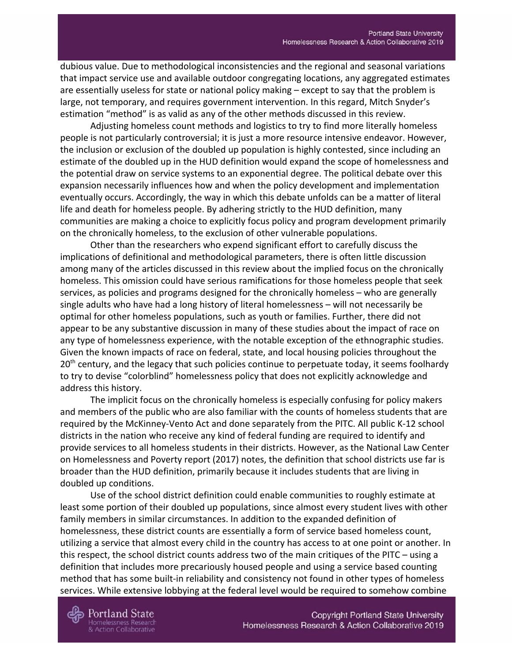dubious value. Due to methodological inconsistencies and the regional and seasonal variations that impact service use and available outdoor congregating locations, any aggregated estimates are essentially useless for state or national policy making – except to say that the problem is large, not temporary, and requires government intervention. In this regard, Mitch Snyder's estimation "method" is as valid as any of the other methods discussed in this review.

Adjusting homeless count methods and logistics to try to find more literally homeless people is not particularly controversial; it is just a more resource intensive endeavor. However, the inclusion or exclusion of the doubled up population is highly contested, since including an estimate of the doubled up in the HUD definition would expand the scope of homelessness and the potential draw on service systems to an exponential degree. The political debate over this expansion necessarily influences how and when the policy development and implementation eventually occurs. Accordingly, the way in which this debate unfolds can be a matter of literal life and death for homeless people. By adhering strictly to the HUD definition, many communities are making a choice to explicitly focus policy and program development primarily on the chronically homeless, to the exclusion of other vulnerable populations.

Other than the researchers who expend significant effort to carefully discuss the implications of definitional and methodological parameters, there is often little discussion among many of the articles discussed in this review about the implied focus on the chronically homeless. This omission could have serious ramifications for those homeless people that seek services, as policies and programs designed for the chronically homeless – who are generally single adults who have had a long history of literal homelessness – will not necessarily be optimal for other homeless populations, such as youth or families. Further, there did not appear to be any substantive discussion in many of these studies about the impact of race on any type of homelessness experience, with the notable exception of the ethnographic studies. Given the known impacts of race on federal, state, and local housing policies throughout the 20<sup>th</sup> century, and the legacy that such policies continue to perpetuate today, it seems foolhardy to try to devise "colorblind" homelessness policy that does not explicitly acknowledge and address this history.

The implicit focus on the chronically homeless is especially confusing for policy makers and members of the public who are also familiar with the counts of homeless students that are required by the McKinney-Vento Act and done separately from the PITC. All public K-12 school districts in the nation who receive any kind of federal funding are required to identify and provide services to all homeless students in their districts. However, as the National Law Center on Homelessness and Poverty report (2017) notes, the definition that school districts use far is broader than the HUD definition, primarily because it includes students that are living in doubled up conditions.

Use of the school district definition could enable communities to roughly estimate at least some portion of their doubled up populations, since almost every student lives with other family members in similar circumstances. In addition to the expanded definition of homelessness, these district counts are essentially a form of service based homeless count, utilizing a service that almost every child in the country has access to at one point or another. In this respect, the school district counts address two of the main critiques of the PITC – using a definition that includes more precariously housed people and using a service based counting method that has some built-in reliability and consistency not found in other types of homeless services. While extensive lobbying at the federal level would be required to somehow combine

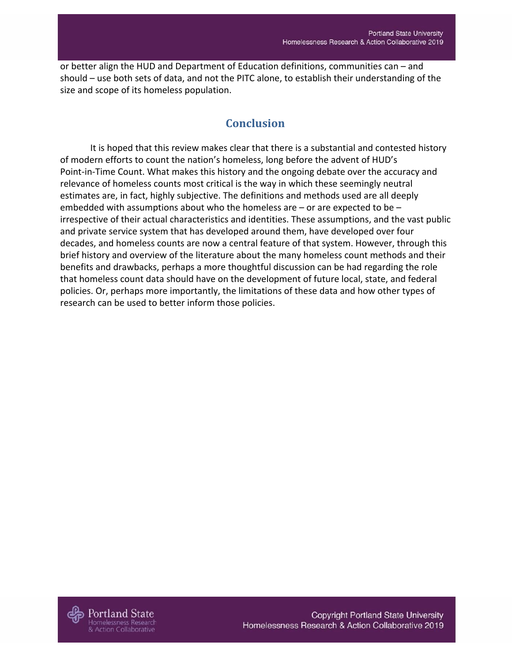<span id="page-29-0"></span>or better align the HUD and Department of Education definitions, communities can – and should – use both sets of data, and not the PITC alone, to establish their understanding of the size and scope of its homeless population.

# **Conclusion**

It is hoped that this review makes clear that there is a substantial and contested history of modern efforts to count the nation's homeless, long before the advent of HUD's Point-in-Time Count. What makes this history and the ongoing debate over the accuracy and relevance of homeless counts most critical is the way in which these seemingly neutral estimates are, in fact, highly subjective. The definitions and methods used are all deeply embedded with assumptions about who the homeless are – or are expected to be – irrespective of their actual characteristics and identities. These assumptions, and the vast public and private service system that has developed around them, have developed over four decades, and homeless counts are now a central feature of that system. However, through this brief history and overview of the literature about the many homeless count methods and their benefits and drawbacks, perhaps a more thoughtful discussion can be had regarding the role that homeless count data should have on the development of future local, state, and federal policies. Or, perhaps more importantly, the limitations of these data and how other types of research can be used to better inform those policies.

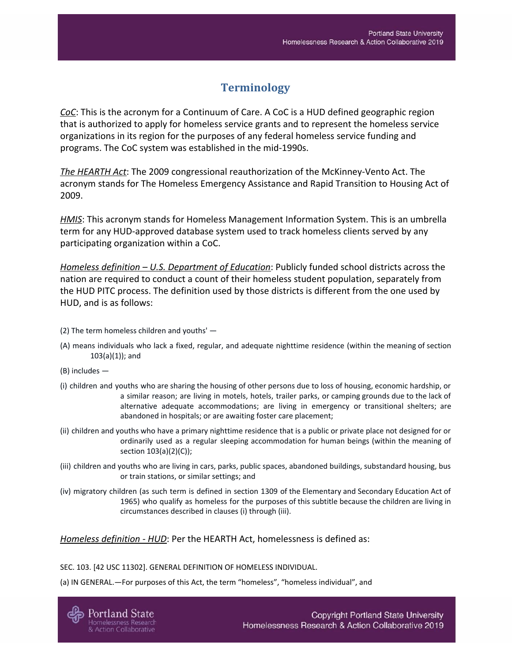# **Terminology**

<span id="page-30-0"></span>*CoC*: This is the acronym for a Continuum of Care. A CoC is a HUD defined geographic region that is authorized to apply for homeless service grants and to represent the homeless service organizations in its region for the purposes of any federal homeless service funding and programs. The CoC system was established in the mid-1990s.

*The HEARTH Act*: The 2009 congressional reauthorization of the McKinney-Vento Act. The acronym stands for The Homeless Emergency Assistance and Rapid Transition to Housing Act of 2009.

*HMIS*: This acronym stands for Homeless Management Information System. This is an umbrella term for any HUD-approved database system used to track homeless clients served by any participating organization within a CoC.

*Homeless definition – U.S. Department of Education*: Publicly funded school districts across the nation are required to conduct a count of their homeless student population, separately from the HUD PITC process. The definition used by those districts is different from the one used by HUD, and is as follows:

- (2) The term homeless children and youths' —
- (A) means individuals who lack a fixed, regular, and adequate nighttime residence (within the meaning of section 103(a)(1)); and
- (B) includes —
- (i) children and youths who are sharing the housing of other persons due to loss of housing, economic hardship, or a similar reason; are living in motels, hotels, trailer parks, or camping grounds due to the lack of alternative adequate accommodations; are living in emergency or transitional shelters; are abandoned in hospitals; or are awaiting foster care placement;
- (ii) children and youths who have a primary nighttime residence that is a public or private place not designed for or ordinarily used as a regular sleeping accommodation for human beings (within the meaning of section 103(a)(2)(C));
- (iii) children and youths who are living in cars, parks, public spaces, abandoned buildings, substandard housing, bus or train stations, or similar settings; and
- (iv) migratory children (as such term is defined in section 1309 of the Elementary and Secondary Education Act of 1965) who qualify as homeless for the purposes of this subtitle because the children are living in circumstances described in clauses (i) through (iii).

*Homeless definition - HUD*: Per the HEARTH Act, homelessness is defined as:

SEC. 103. [42 USC 11302]. GENERAL DEFINITION OF HOMELESS INDIVIDUAL.

(a) IN GENERAL.—For purposes of this Act, the term "homeless", "homeless individual", and

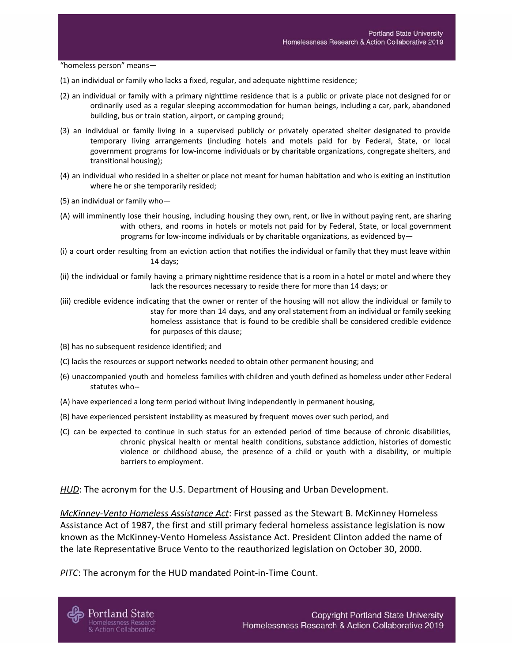"homeless person" means—

- (1) an individual or family who lacks a fixed, regular, and adequate nighttime residence;
- (2) an individual or family with a primary nighttime residence that is a public or private place not designed for or ordinarily used as a regular sleeping accommodation for human beings, including a car, park, abandoned building, bus or train station, airport, or camping ground;
- (3) an individual or family living in a supervised publicly or privately operated shelter designated to provide temporary living arrangements (including hotels and motels paid for by Federal, State, or local government programs for low-income individuals or by charitable organizations, congregate shelters, and transitional housing);
- (4) an individual who resided in a shelter or place not meant for human habitation and who is exiting an institution where he or she temporarily resided;
- (5) an individual or family who—
- (A) will imminently lose their housing, including housing they own, rent, or live in without paying rent, are sharing with others, and rooms in hotels or motels not paid for by Federal, State, or local government programs for low-income individuals or by charitable organizations, as evidenced by—
- (i) a court order resulting from an eviction action that notifies the individual or family that they must leave within 14 days;
- (ii) the individual or family having a primary nighttime residence that is a room in a hotel or motel and where they lack the resources necessary to reside there for more than 14 days; or
- (iii) credible evidence indicating that the owner or renter of the housing will not allow the individual or family to stay for more than 14 days, and any oral statement from an individual or family seeking homeless assistance that is found to be credible shall be considered credible evidence for purposes of this clause;
- (B) has no subsequent residence identified; and
- (C) lacks the resources or support networks needed to obtain other permanent housing; and
- (6) unaccompanied youth and homeless families with children and youth defined as homeless under other Federal statutes who--
- (A) have experienced a long term period without living independently in permanent housing,
- (B) have experienced persistent instability as measured by frequent moves over such period, and
- (C) can be expected to continue in such status for an extended period of time because of chronic disabilities, chronic physical health or mental health conditions, substance addiction, histories of domestic violence or childhood abuse, the presence of a child or youth with a disability, or multiple barriers to employment.

*HUD*: The acronym for the U.S. Department of Housing and Urban Development.

*McKinney-Vento Homeless Assistance Act*: First passed as the Stewart B. McKinney Homeless Assistance Act of 1987, the first and still primary federal homeless assistance legislation is now known as the McKinney-Vento Homeless Assistance Act. President Clinton added the name of the late Representative Bruce Vento to the reauthorized legislation on October 30, 2000.

*PITC*: The acronym for the HUD mandated Point-in-Time Count.

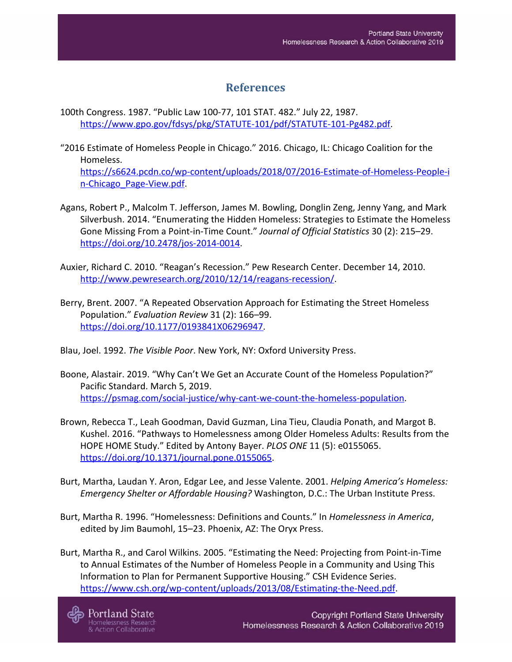## **References**

- <span id="page-32-0"></span>100th Congress. 1987. "Public Law 100-77, 101 STAT. 482." July 22, 1987. [https://www.gpo.gov/fdsys/pkg/STATUTE-101/pdf/STATUTE-101-Pg482.pdf.](https://www.gpo.gov/fdsys/pkg/STATUTE-101/pdf/STATUTE-101-Pg482.pdf)
- "2016 Estimate of Homeless People in Chicago." 2016. Chicago, IL: Chicago Coalition for the Homeless.

[https://s6624.pcdn.co/wp-content/uploads/2018/07/2016-Estimate-of-Homeless-People-i](https://s6624.pcdn.co/wp-content/uploads/2018/07/2016-Estimate-of-Homeless-People-in-Chicago_Page-View.pdf) [n-Chicago\\_Page-View.pdf](https://s6624.pcdn.co/wp-content/uploads/2018/07/2016-Estimate-of-Homeless-People-in-Chicago_Page-View.pdf).

- Agans, Robert P., Malcolm T. Jefferson, James M. Bowling, Donglin Zeng, Jenny Yang, and Mark Silverbush. 2014. "Enumerating the Hidden Homeless: Strategies to Estimate the Homeless Gone Missing From a Point-in-Time Count." *Journal of Official Statistics* 30 (2): 215–29. <https://doi.org/10.2478/jos-2014-0014>.
- Auxier, Richard C. 2010. "Reagan's Recession." Pew Research Center. December 14, 2010. [http://www.pewresearch.org/2010/12/14/reagans-recession/.](http://www.pewresearch.org/2010/12/14/reagans-recession/)
- Berry, Brent. 2007. "A Repeated Observation Approach for Estimating the Street Homeless Population." *Evaluation Review* 31 (2): 166–99. [https://doi.org/10.1177/0193841X06296947.](https://doi.org/10.1177/0193841X06296947)
- Blau, Joel. 1992. *The Visible Poor*. New York, NY: Oxford University Press.
- Boone, Alastair. 2019. "Why Can't We Get an Accurate Count of the Homeless Population?" Pacific Standard. March 5, 2019. [https://psmag.com/social-justice/why-cant-we-count-the-homeless-population.](https://psmag.com/social-justice/why-cant-we-count-the-homeless-population)
- Brown, Rebecca T., Leah Goodman, David Guzman, Lina Tieu, Claudia Ponath, and Margot B. Kushel. 2016. "Pathways to Homelessness among Older Homeless Adults: Results from the HOPE HOME Study." Edited by Antony Bayer. *PLOS ONE* 11 (5): e0155065. [https://doi.org/10.1371/journal.pone.0155065.](https://doi.org/10.1371/journal.pone.0155065)
- Burt, Martha, Laudan Y. Aron, Edgar Lee, and Jesse Valente. 2001. *Helping America's Homeless: Emergency Shelter or Affordable Housing?* Washington, D.C.: The Urban Institute Press.
- Burt, Martha R. 1996. "Homelessness: Definitions and Counts." In *Homelessness in America*, edited by Jim Baumohl, 15–23. Phoenix, AZ: The Oryx Press.
- Burt, Martha R., and Carol Wilkins. 2005. "Estimating the Need: Projecting from Point-in-Time to Annual Estimates of the Number of Homeless People in a Community and Using This Information to Plan for Permanent Supportive Housing." CSH Evidence Series. <https://www.csh.org/wp-content/uploads/2013/08/Estimating-the-Need.pdf>.

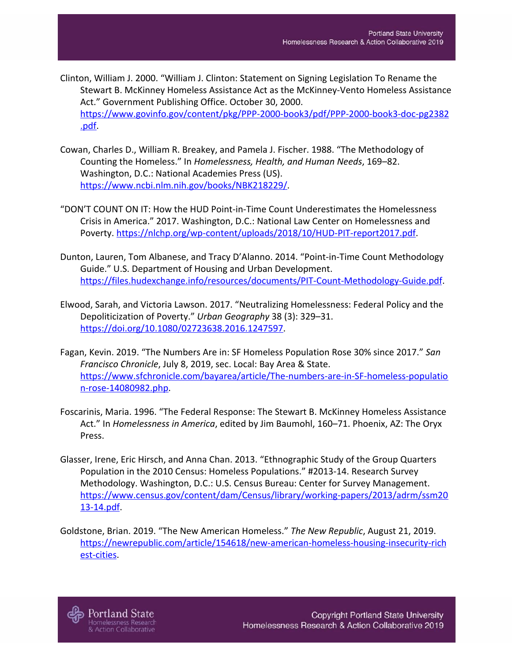- Clinton, William J. 2000. "William J. Clinton: Statement on Signing Legislation To Rename the Stewart B. McKinney Homeless Assistance Act as the McKinney-Vento Homeless Assistance Act." Government Publishing Office. October 30, 2000. [https://www.govinfo.gov/content/pkg/PPP-2000-book3/pdf/PPP-2000-book3-doc-pg2382](https://www.govinfo.gov/content/pkg/PPP-2000-book3/pdf/PPP-2000-book3-doc-pg2382.pdf) [.pdf.](https://www.govinfo.gov/content/pkg/PPP-2000-book3/pdf/PPP-2000-book3-doc-pg2382.pdf)
- Cowan, Charles D., William R. Breakey, and Pamela J. Fischer. 1988. "The Methodology of Counting the Homeless." In *Homelessness, Health, and Human Needs*, 169–82. Washington, D.C.: National Academies Press (US). [https://www.ncbi.nlm.nih.gov/books/NBK218229/.](https://www.ncbi.nlm.nih.gov/books/NBK218229/)
- "DON'T COUNT ON IT: How the HUD Point-in-Time Count Underestimates the Homelessness Crisis in America." 2017. Washington, D.C.: National Law Center on Homelessness and Poverty. <https://nlchp.org/wp-content/uploads/2018/10/HUD-PIT-report2017.pdf>.
- Dunton, Lauren, Tom Albanese, and Tracy D'Alanno. 2014. "Point-in-Time Count Methodology Guide." U.S. Department of Housing and Urban Development. <https://files.hudexchange.info/resources/documents/PIT-Count-Methodology-Guide.pdf>.
- Elwood, Sarah, and Victoria Lawson. 2017. "Neutralizing Homelessness: Federal Policy and the Depoliticization of Poverty." *Urban Geography* 38 (3): 329–31. [https://doi.org/10.1080/02723638.2016.1247597.](https://doi.org/10.1080/02723638.2016.1247597)
- Fagan, Kevin. 2019. "The Numbers Are in: SF Homeless Population Rose 30% since 2017." *San Francisco Chronicle*, July 8, 2019, sec. Local: Bay Area & State. [https://www.sfchronicle.com/bayarea/article/The-numbers-are-in-SF-homeless-populatio](https://www.sfchronicle.com/bayarea/article/The-numbers-are-in-SF-homeless-population-rose-14080982.php) [n-rose-14080982.php.](https://www.sfchronicle.com/bayarea/article/The-numbers-are-in-SF-homeless-population-rose-14080982.php)
- Foscarinis, Maria. 1996. "The Federal Response: The Stewart B. McKinney Homeless Assistance Act." In *Homelessness in America*, edited by Jim Baumohl, 160–71. Phoenix, AZ: The Oryx Press.
- Glasser, Irene, Eric Hirsch, and Anna Chan. 2013. "Ethnographic Study of the Group Quarters Population in the 2010 Census: Homeless Populations." #2013-14. Research Survey Methodology. Washington, D.C.: U.S. Census Bureau: Center for Survey Management. [https://www.census.gov/content/dam/Census/library/working-papers/2013/adrm/ssm20](https://www.census.gov/content/dam/Census/library/working-papers/2013/adrm/ssm2013-14.pdf) [13-14.pdf](https://www.census.gov/content/dam/Census/library/working-papers/2013/adrm/ssm2013-14.pdf).
- Goldstone, Brian. 2019. "The New American Homeless." *The New Republic*, August 21, 2019. [https://newrepublic.com/article/154618/new-american-homeless-housing-insecurity-rich](https://newrepublic.com/article/154618/new-american-homeless-housing-insecurity-richest-cities) [est-cities.](https://newrepublic.com/article/154618/new-american-homeless-housing-insecurity-richest-cities)



nelessness Research

**Action Collaborative**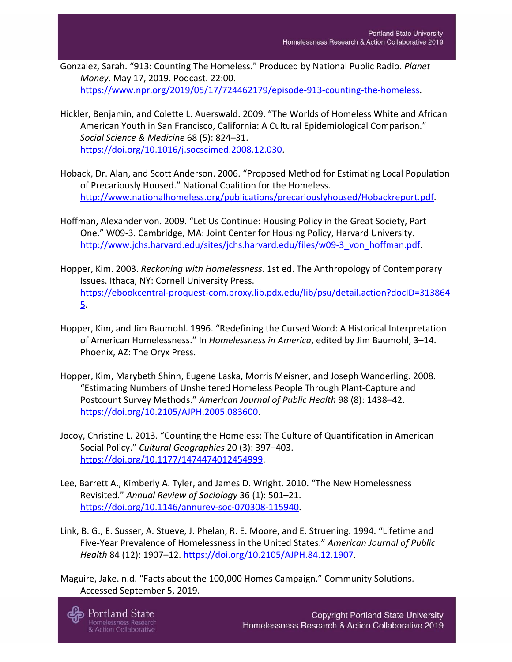- Gonzalez, Sarah. "913: Counting The Homeless." Produced by National Public Radio. *Planet Money*. May 17, 2019. Podcast. 22:00. [https://www.npr.org/2019/05/17/724462179/episode-913-counting-the-homeless.](https://www.npr.org/2019/05/17/724462179/episode-913-counting-the-homeless)
- Hickler, Benjamin, and Colette L. Auerswald. 2009. "The Worlds of Homeless White and African American Youth in San Francisco, California: A Cultural Epidemiological Comparison." *Social Science & Medicine* 68 (5): 824–31. [https://doi.org/10.1016/j.socscimed.2008.12.030.](https://doi.org/10.1016/j.socscimed.2008.12.030)
- Hoback, Dr. Alan, and Scott Anderson. 2006. "Proposed Method for Estimating Local Population of Precariously Housed." National Coalition for the Homeless. [http://www.nationalhomeless.org/publications/precariouslyhoused/Hobackreport.pdf.](http://www.nationalhomeless.org/publications/precariouslyhoused/Hobackreport.pdf)
- Hoffman, Alexander von. 2009. "Let Us Continue: Housing Policy in the Great Society, Part One." W09-3. Cambridge, MA: Joint Center for Housing Policy, Harvard University. [http://www.jchs.harvard.edu/sites/jchs.harvard.edu/files/w09-3\\_von\\_hoffman.pdf](http://www.jchs.harvard.edu/sites/jchs.harvard.edu/files/w09-3_von_hoffman.pdf).
- Hopper, Kim. 2003. *Reckoning with Homelessness*. 1st ed. The Anthropology of Contemporary Issues. Ithaca, NY: Cornell University Press. [https://ebookcentral-proquest-com.proxy.lib.pdx.edu/lib/psu/detail.action?docID=313864](https://ebookcentral-proquest-com.proxy.lib.pdx.edu/lib/psu/detail.action?docID=3138645) [5](https://ebookcentral-proquest-com.proxy.lib.pdx.edu/lib/psu/detail.action?docID=3138645).
- Hopper, Kim, and Jim Baumohl. 1996. "Redefining the Cursed Word: A Historical Interpretation of American Homelessness." In *Homelessness in America*, edited by Jim Baumohl, 3–14. Phoenix, AZ: The Oryx Press.
- Hopper, Kim, Marybeth Shinn, Eugene Laska, Morris Meisner, and Joseph Wanderling. 2008. "Estimating Numbers of Unsheltered Homeless People Through Plant-Capture and Postcount Survey Methods." *American Journal of Public Health* 98 (8): 1438–42. <https://doi.org/10.2105/AJPH.2005.083600>.
- Jocoy, Christine L. 2013. "Counting the Homeless: The Culture of Quantification in American Social Policy." *Cultural Geographies* 20 (3): 397–403. <https://doi.org/10.1177/1474474012454999>.
- Lee, Barrett A., Kimberly A. Tyler, and James D. Wright. 2010. "The New Homelessness Revisited." *Annual Review of Sociology* 36 (1): 501–21. [https://doi.org/10.1146/annurev-soc-070308-115940.](https://doi.org/10.1146/annurev-soc-070308-115940)
- Link, B. G., E. Susser, A. Stueve, J. Phelan, R. E. Moore, and E. Struening. 1994. "Lifetime and Five-Year Prevalence of Homelessness in the United States." *American Journal of Public Health* 84 (12): 1907–12. [https://doi.org/10.2105/AJPH.84.12.1907.](https://doi.org/10.2105/AJPH.84.12.1907)
- Maguire, Jake. n.d. "Facts about the 100,000 Homes Campaign." Community Solutions. Accessed September 5, 2019.

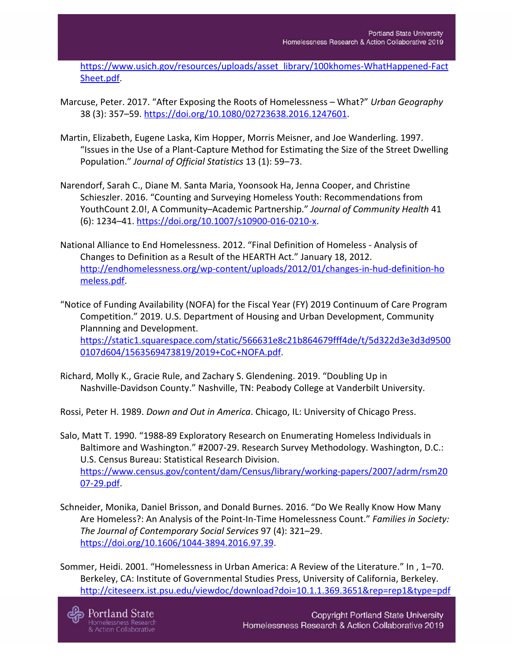[https://www.usich.gov/resources/uploads/asset\\_library/100khomes-WhatHappened-Fact](https://www.usich.gov/resources/uploads/asset_library/100khomes-WhatHappened-FactSheet.pdf) [Sheet.pdf](https://www.usich.gov/resources/uploads/asset_library/100khomes-WhatHappened-FactSheet.pdf).

- Marcuse, Peter. 2017. "After Exposing the Roots of Homelessness What?" *Urban Geography* 38 (3): 357–59.<https://doi.org/10.1080/02723638.2016.1247601>.
- Martin, Elizabeth, Eugene Laska, Kim Hopper, Morris Meisner, and Joe Wanderling. 1997. "Issues in the Use of a Plant-Capture Method for Estimating the Size of the Street Dwelling Population." *Journal of Official Statistics* 13 (1): 59–73.
- Narendorf, Sarah C., Diane M. Santa Maria, Yoonsook Ha, Jenna Cooper, and Christine Schieszler. 2016. "Counting and Surveying Homeless Youth: Recommendations from YouthCount 2.0!, A Community–Academic Partnership." *Journal of Community Health* 41 (6): 1234–41. [https://doi.org/10.1007/s10900-016-0210-x.](https://doi.org/10.1007/s10900-016-0210-x)
- National Alliance to End Homelessness. 2012. "Final Definition of Homeless Analysis of Changes to Definition as a Result of the HEARTH Act." January 18, 2012. [http://endhomelessness.org/wp-content/uploads/2012/01/changes-in-hud-definition-ho](http://endhomelessness.org/wp-content/uploads/2012/01/changes-in-hud-definition-homeless.pdf) [meless.pdf.](http://endhomelessness.org/wp-content/uploads/2012/01/changes-in-hud-definition-homeless.pdf)
- "Notice of Funding Availability (NOFA) for the Fiscal Year (FY) 2019 Continuum of Care Program Competition." 2019. U.S. Department of Housing and Urban Development, Community Plannning and Development. [https://static1.squarespace.com/static/566631e8c21b864679fff4de/t/5d322d3e3d3d9500](https://static1.squarespace.com/static/566631e8c21b864679fff4de/t/5d322d3e3d3d95000107d604/1563569473819/2019+CoC+NOFA.pdf) [0107d604/1563569473819/2019+CoC+NOFA.pdf](https://static1.squarespace.com/static/566631e8c21b864679fff4de/t/5d322d3e3d3d95000107d604/1563569473819/2019+CoC+NOFA.pdf).
- Richard, Molly K., Gracie Rule, and Zachary S. Glendening. 2019. "Doubling Up in Nashville-Davidson County." Nashville, TN: Peabody College at Vanderbilt University.

Rossi, Peter H. 1989. *Down and Out in America*. Chicago, IL: University of Chicago Press.

Salo, Matt T. 1990. "1988-89 Exploratory Research on Enumerating Homeless Individuals in Baltimore and Washington." #2007-29. Research Survey Methodology. Washington, D.C.: U.S. Census Bureau: Statistical Research Division. [https://www.census.gov/content/dam/Census/library/working-papers/2007/adrm/rsm20](https://www.census.gov/content/dam/Census/library/working-papers/2007/adrm/rsm2007-29.pdf) [07-29.pdf](https://www.census.gov/content/dam/Census/library/working-papers/2007/adrm/rsm2007-29.pdf).

- Schneider, Monika, Daniel Brisson, and Donald Burnes. 2016. "Do We Really Know How Many Are Homeless?: An Analysis of the Point-In-Time Homelessness Count." *Families in Society: The Journal of Contemporary Social Services* 97 (4): 321–29. <https://doi.org/10.1606/1044-3894.2016.97.39>.
- Sommer, Heidi. 2001. "Homelessness in Urban America: A Review of the Literature." In , 1–70. Berkeley, CA: Institute of Governmental Studies Press, University of California, Berkeley. <http://citeseerx.ist.psu.edu/viewdoc/download?doi=10.1.1.369.3651&rep=rep1&type=pdf>